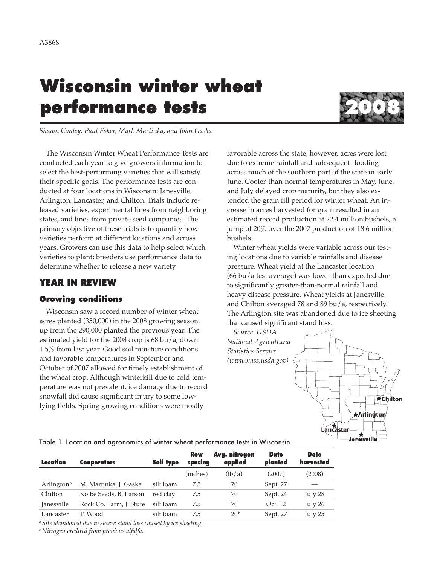# **Wisconsin winter wheat performance tests 2008**



*Shawn Conley, Paul Esker, Mark Martinka, and John Gaska*

The Wisconsin Winter Wheat Performance Tests are conducted each year to give growers information to select the best-performing varieties that will satisfy their specific goals. The performance tests are conducted at four locations in Wisconsin: Janesville, Arlington, Lancaster, and Chilton. Trials include released varieties, experimental lines from neighboring states, and lines from private seed companies. The primary objective of these trials is to quantify how varieties perform at different locations and across years. Growers can use this data to help select which varieties to plant; breeders use performance data to determine whether to release a new variety.

# **YEAR IN REVIEW**

## **Growing conditions**

Wisconsin saw a record number of winter wheat acres planted (350,000) in the 2008 growing season, up from the 290,000 planted the previous year. The estimated yield for the 2008 crop is 68 bu/a, down 1.5% from last year. Good soil moisture conditions and favorable temperatures in September and October of 2007 allowed for timely establishment of the wheat crop. Although winterkill due to cold temperature was not prevalent, ice damage due to record snowfall did cause significant injury to some lowlying fields. Spring growing conditions were mostly

favorable across the state; however, acres were lost due to extreme rainfall and subsequent flooding across much of the southern part of the state in early June. Cooler-than-normal temperatures in May, June, and July delayed crop maturity, but they also extended the grain fill period for winter wheat. An increase in acres harvested for grain resulted in an estimated record production at 22.4 million bushels, a jump of 20% over the 2007 production of 18.6 million bushels.

Winter wheat yields were variable across our testing locations due to variable rainfalls and disease pressure. Wheat yield at the Lancaster location (66 bu/a test average) was lower than expected due to significantly greater-than-normal rainfall and heavy disease pressure. Wheat yields at Janesville and Chilton averaged 78 and 89 bu/a, respectively. The Arlington site was abandoned due to ice sheeting that caused significant stand loss.

*Source: USDA National Agricultural Statistics Service (www.nass.usda.gov)*



#### Table 1. Location and agronomics of winter wheat performance tests in Wisconsin

| Location<br><b>Cooperators</b> |                         | Soil type | <b>Row</b><br>spacing | Avg. nitrogen<br>applied | <b>Date</b><br>planted | <b>Date</b><br>harvested |
|--------------------------------|-------------------------|-----------|-----------------------|--------------------------|------------------------|--------------------------|
|                                |                         |           | (inches)              | (lb/a)                   | (2007)                 | (2008)                   |
| Arlington <sup>a</sup>         | M. Martinka, J. Gaska   | silt loam | 7.5                   | 70                       | Sept. 27               |                          |
| Chilton                        | Kolbe Seeds, B. Larson  | red clay  | 7.5                   | 70                       | Sept. 24               | July 28                  |
| Janesville                     | Rock Co. Farm, J. Stute | silt loam | 7.5                   | 70                       | Oct. 12                | July 26                  |
| Lancaster                      | T. Wood                 | silt loam | 7.5                   | 20 <sup>b</sup>          | Sept. 27               | July 25                  |

*<sup>a</sup> Site abandoned due to severe stand loss caused by ice sheeting.*

*<sup>b</sup> Nitrogen credited from previous alfalfa.*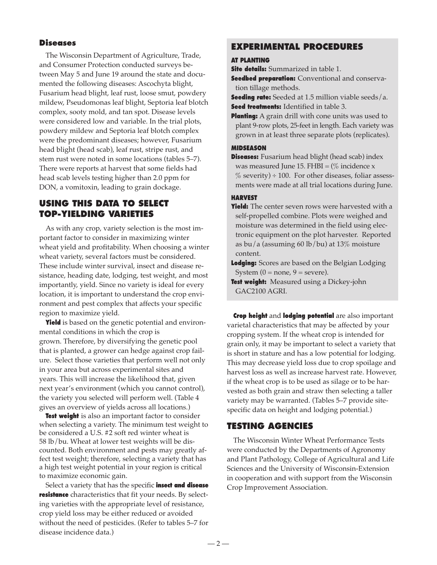## **Diseases**

The Wisconsin Department of Agriculture, Trade, and Consumer Protection conducted surveys between May 5 and June 19 around the state and documented the following diseases: Ascochyta blight, Fusarium head blight, leaf rust, loose smut, powdery mildew, Pseudomonas leaf blight, Septoria leaf blotch complex, sooty mold, and tan spot. Disease levels were considered low and variable. In the trial plots, powdery mildew and Septoria leaf blotch complex were the predominant diseases; however, Fusarium head blight (head scab), leaf rust, stripe rust, and stem rust were noted in some locations (tables 5–7). There were reports at harvest that some fields had head scab levels testing higher than 2.0 ppm for DON, a vomitoxin, leading to grain dockage.

# **USING THIS DATA TO SELECT TOP-YIELDING VARIETIES**

As with any crop, variety selection is the most important factor to consider in maximizing winter wheat yield and profitability. When choosing a winter wheat variety, several factors must be considered. These include winter survival, insect and disease resistance, heading date, lodging, test weight, and most importantly, yield. Since no variety is ideal for every location, it is important to understand the crop environment and pest complex that affects your specific region to maximize yield.

**Yield** is based on the genetic potential and environmental conditions in which the crop is grown. Therefore, by diversifying the genetic pool that is planted, a grower can hedge against crop failure. Select those varieties that perform well not only in your area but across experimental sites and years. This will increase the likelihood that, given next year's environment (which you cannot control), the variety you selected will perform well. (Table 4 gives an overview of yields across all locations.)

**Test weight** is also an important factor to consider when selecting a variety. The minimum test weight to be considered a U.S. #2 soft red winter wheat is 58 lb/bu. Wheat at lower test weights will be discounted. Both environment and pests may greatly affect test weight; therefore, selecting a variety that has a high test weight potential in your region is critical to maximize economic gain.

Select a variety that has the specific **insect and disease resistance** characteristics that fit your needs. By selecting varieties with the appropriate level of resistance, crop yield loss may be either reduced or avoided without the need of pesticides. (Refer to tables 5–7 for disease incidence data.)

# **EXPERIMENTAL PROCEDURES**

#### **AT PLANTING**

**Site details:** Summarized in table 1.

**Seedbed preparation:** Conventional and conservation tillage methods.

**Seeding rate:** Seeded at 1.5 million viable seeds/a. **Seed treatments:** Identified in table 3.

**Planting:** A grain drill with cone units was used to plant 9-row plots, 25-feet in length. Each variety was grown in at least three separate plots (replicates).

## **MIDSEASON**

**Diseases:** Fusarium head blight (head scab) index was measured June 15. FHBI =  $\frac{\%}{\%}$  incidence x  $\%$  severity) ÷ 100. For other diseases, foliar assessments were made at all trial locations during June.

#### **HARVEST**

**Yield:** The center seven rows were harvested with a self-propelled combine. Plots were weighed and moisture was determined in the field using electronic equipment on the plot harvester. Reported as bu/a (assuming 60 lb/bu) at 13% moisture content.

**Lodging:** Scores are based on the Belgian Lodging System  $(0 = none, 9 = severe)$ .

**Test weight:** Measured using a Dickey-john GAC2100 AGRI.

**Crop height** and **lodging potential** are also important varietal characteristics that may be affected by your cropping system. If the wheat crop is intended for grain only, it may be important to select a variety that is short in stature and has a low potential for lodging. This may decrease yield loss due to crop spoilage and harvest loss as well as increase harvest rate. However, if the wheat crop is to be used as silage or to be harvested as both grain and straw then selecting a taller variety may be warranted. (Tables 5–7 provide sitespecific data on height and lodging potential.)

## **TESTING AGENCIES**

The Wisconsin Winter Wheat Performance Tests were conducted by the Departments of Agronomy and Plant Pathology, College of Agricultural and Life Sciences and the University of Wisconsin-Extension in cooperation and with support from the Wisconsin Crop Improvement Association.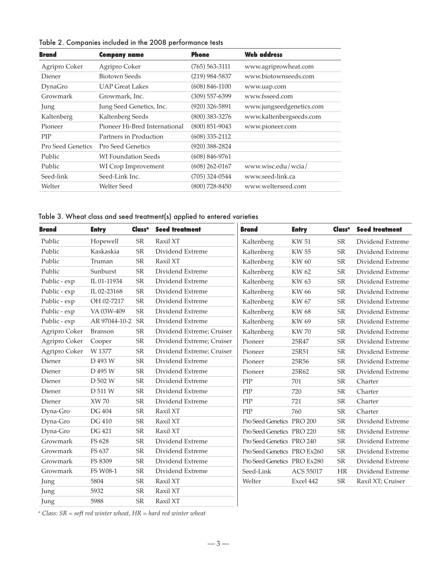| <b>Company name</b>           | <b>Phone</b>       | <b>Web address</b>       |
|-------------------------------|--------------------|--------------------------|
| Agripro Coker                 | $(765)$ 563-3111   | www.agriprowheat.com     |
| <b>Biotown Seeds</b>          | $(219)$ 984-5837   | www.biotownseeds.com     |
| <b>UAP Great Lakes</b>        | $(608) 846 - 1100$ | www.uap.com              |
| Growmark, Inc.                | (309) 557-6399     | www.fsseed.com           |
| Jung Seed Genetics, Inc.      | $(920)$ 326-5891   | www.jungseedgenetics.com |
| Kaltenberg Seeds              | $(800)$ 383-3276   | www.kaltenbergseeds.com  |
| Pioneer Hi-Bred International | $(800)$ 851-9043   | www.pioneer.com          |
| Partners in Production        | $(608)$ 335-2112   |                          |
| Pro Seed Genetics             | $(920)$ 388-2824   |                          |
| <b>WI Foundation Seeds</b>    | $(608) 846 - 9761$ |                          |
| WI Crop Improvement           | $(608)$ 262-0167   | www.wisc.edu/wcia/       |
| Seed-Link Inc.                | $(705)$ 324-0544   | www.seed-link.ca         |
| <b>Welter Seed</b>            | $(800)$ 728-8450   | www.welterseed.com       |
|                               |                    |                          |

Table 2. Companies included in the 2008 performance tests

Table 3. Wheat class and seed treatment(s) applied to entered varieties

| <b>Brand</b>  | <b>Entry</b>  | Class <sup>a</sup> | <b>Seed treatment</b>     | <b>Brand</b>                | <b>Entry</b> | Class <sup>a</sup> | <b>Seed treatment</b> |
|---------------|---------------|--------------------|---------------------------|-----------------------------|--------------|--------------------|-----------------------|
| Public        | Hopewell      | ${\rm SR}$         | Raxil XT                  | Kaltenberg                  | <b>KW 51</b> | <b>SR</b>          | Dividend Extreme      |
| Public        | Kaskaskia     | <b>SR</b>          | Dividend Extreme          | Kaltenberg                  | <b>KW 55</b> | <b>SR</b>          | Dividend Extreme      |
| Public        | Truman        | SR                 | Raxil XT                  | Kaltenberg                  | KW 60        | <b>SR</b>          | Dividend Extreme      |
| Public        | Sunburst      | ${\sf SR}$         | Dividend Extreme          | Kaltenberg                  | KW 62        | <b>SR</b>          | Dividend Extreme      |
| Public - exp  | IL 01-11934   | <b>SR</b>          | Dividend Extreme          | Kaltenberg                  | <b>KW63</b>  | <b>SR</b>          | Dividend Extreme      |
| Public - exp  | IL 02-23168   | ${\rm SR}$         | Dividend Extreme          | Kaltenberg                  | KW 66        | SR                 | Dividend Extreme      |
| Public - exp  | OH 02-7217    | ${\sf SR}$         | Dividend Extreme          | Kaltenberg                  | <b>KW 67</b> | <b>SR</b>          | Dividend Extreme      |
| Public - exp  | VA 03W-409    | SR                 | Dividend Extreme          | Kaltenberg                  | <b>KW68</b>  | SR                 | Dividend Extreme      |
| Public - exp  | AR 97044-10-2 | <b>SR</b>          | Dividend Extreme          | Kaltenberg                  | KW 69        | SR                 | Dividend Extreme      |
| Agripro Coker | Branson       | <b>SR</b>          | Dividend Extreme; Cruiser | Kaltenberg                  | <b>KW70</b>  | ${\sf SR}$         | Dividend Extreme      |
| Agripro Coker | Cooper        | ${\sf SR}$         | Dividend Extreme; Cruiser | Pioneer                     | 25R47        | <b>SR</b>          | Dividend Extreme      |
| Agripro Coker | W 1377        | ${\rm SR}$         | Dividend Extreme; Cruiser | Pioneer                     | 25R51        | SR                 | Dividend Extreme      |
| Diener        | D 493 W       | <b>SR</b>          | Dividend Extreme          | Pioneer                     | 25R56        | <b>SR</b>          | Dividend Extreme      |
| Diener        | D 495 W       | <b>SR</b>          | Dividend Extreme          | Pioneer                     | 25R62        | ${\sf SR}$         | Dividend Extreme      |
| Diener        | D 502 W       | <b>SR</b>          | Dividend Extreme          | PIP                         | 701          | SR                 | Charter               |
| Diener        | D 511 W       | SR                 | Dividend Extreme          | PIP                         | 720          | <b>SR</b>          | Charter               |
| Diener        | <b>XW 70</b>  | ${\rm SR}$         | Dividend Extreme          | PIP                         | 721          | SR                 | Charter               |
| Dyna-Gro      | DG 404        | <b>SR</b>          | Raxil XT                  | PIP                         | 760          | <b>SR</b>          | Charter               |
| Dyna-Gro      | <b>DG 410</b> | ${\sf SR}$         | Raxil XT                  | Pro Seed Genetics PRO 200   |              | <b>SR</b>          | Dividend Extreme      |
| Dyna-Gro      | <b>DG 421</b> | ${\sf SR}$         | Raxil XT                  | Pro Seed Genetics PRO 220   |              | SR                 | Dividend Extreme      |
| Growmark      | FS 628        | ${\sf SR}$         | Dividend Extreme          | Pro Seed Genetics PRO 240   |              | SR                 | Dividend Extreme      |
| Growmark      | FS 637        | ${\sf SR}$         | Dividend Extreme          | Pro Seed Genetics PRO Ex260 |              | ${\sf SR}$         | Dividend Extreme      |
| Growmark      | FS 8309       | <b>SR</b>          | Dividend Extreme          | Pro Seed Genetics PRO Ex280 |              | SR                 | Dividend Extreme      |
| Growmark      | FS W08-1      | <b>SR</b>          | Dividend Extreme          | Seed-Link                   | ACS 55017    | <b>HR</b>          | Dividend Extreme      |
| Jung          | 5804          | <b>SR</b>          | Raxil XT                  | Welter                      | Excel 442    | <b>SR</b>          | Raxil XT; Cruiser     |
| Jung          | 5932          | <b>SR</b>          | Raxil XT                  |                             |              |                    |                       |
| Jung          | 5988          | ${\rm SR}$         | Raxil XT                  |                             |              |                    |                       |

*<sup>a</sup> Class: SR = soft red winter wheat, HR = hard red winter wheat*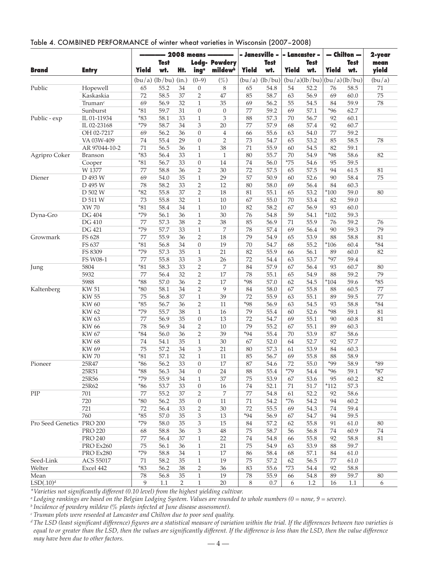|                           |                     | - 2008 means ---- |             |                | - Janesville -              |                      | - Lancaster - |             | $-$ Chilton $-$ |             | 2-year                     |             |              |
|---------------------------|---------------------|-------------------|-------------|----------------|-----------------------------|----------------------|---------------|-------------|-----------------|-------------|----------------------------|-------------|--------------|
|                           |                     |                   | <b>Test</b> |                |                             | <b>Lodg- Powdery</b> |               | <b>Test</b> |                 | <b>Test</b> |                            | <b>Test</b> | mean         |
| <b>Brand</b>              | <b>Entry</b>        | <b>Yield</b>      | wt.         | Ht.            | ing <sup>a</sup>            | mildewb              | <b>Yield</b>  | wt.         | <b>Yield</b>    | wł.         | <b>Yield</b>               | wt.         | yield        |
|                           |                     |                   |             |                |                             |                      |               |             |                 |             |                            |             |              |
|                           |                     | $(bu/a)$ (lb/bu)  |             | (in.)          | $(0 - 9)$                   | $(\%)$               | (bu/a)        | (lb/bu)     |                 |             | (bu/a)(lb/bu)(bu/a)(lb/bu) |             | (bu/a)       |
| Public                    | Hopewell            | 65                | 55.2        | 34             | $\overline{0}$              | 8                    | 65            | 54.8        | 54              | 52.2        | 76                         | 58.5        | 71           |
|                           | Kaskaskia           | 72                | 58.5        | 37             | $\overline{2}$              | 47                   | 85            | 58.7        | 63              | 56.9        | 69                         | 60.0        | 75           |
|                           | Truman <sup>c</sup> | 69                | 56.9        | 32             | $\mathbf{1}$                | 35                   | 69            | 56.2        | 55              | 54.5        | 84                         | 59.9        | 78           |
|                           | Sunburst            | $*_{81}$          | 59.7        | 31             | $\boldsymbol{0}$            | $\boldsymbol{0}$     | 77            | 59.2        | 69              | 57.1        | $*96$                      | 62.7        |              |
| Public - exp              | IL 01-11934         | $*83$             | 58.1        | 33             | $\mathbf{1}$                | 3                    | 88            | 57.3        | 70              | 56.7        | 92                         | 60.1        |              |
|                           | IL 02-23168         | $*79$             | 58.7        | 34             | 3                           | 20                   | 77            | 57.9        | 68              | 57.4        | 92                         | 60.7        |              |
|                           | OH 02-7217          | 69                | 56.2        | 36             | $\boldsymbol{0}$            | $\overline{4}$       | 66            | 55.6        | 63              | 54.0        | 77                         | 59.2        |              |
|                           | VA 03W-409          | 74                | 55.4        | 29             | $\boldsymbol{0}$            | $\overline{2}$       | 73            | 54.7        | 65              | 53.2        | 85                         | 58.5        | 78           |
|                           | AR 97044-10-2       | 71                | 56.5        | 36             | $\mathbf{1}$                | 38                   | 71            | 55.9        | 60              | 54.5        | 82                         | 59.1        |              |
| Agripro Coker             | <b>Branson</b>      | $*83$             | 56.4        | 33             | $\mathbf{1}$                | $\mathbf{1}$         | 80            | 55.7        | 70              | 54.9        | $*98$                      | 58.6        | 82           |
|                           | Cooper              | $*81$             | 56.7        | 33             | $\boldsymbol{0}$            | 14                   | 74            | 56.0        | $*75$           | 54.6        | 95                         | 59.5        |              |
|                           | W 1377              | 77                | 58.8        | 36             | $\overline{2}$              | 30                   | 72            | 57.5        | 65              | 57.5        | 94                         | 61.5        | 81           |
| Diener                    | D 493 W             | 69                | 54.0        | 35             | $\mathbf{1}$                | 29                   | 57            | 50.9        | 60              | 52.6        | 90                         | 58.4        | 75           |
|                           | D 495 W             | 78                | 58.2        | 33             | $\overline{2}$              | 12                   | 80            | 58.0        | 69              | 56.4        | 84                         | 60.3        |              |
|                           | D 502 W             | $*82$             | 55.8        | 37             | $\sqrt{2}$                  | 18                   | 81            | 55.1        | 65              | 53.2        | $*100$                     | 59.0        | 80           |
|                           | D 511 W             | 73                | 55.8        | 32             | $\mathbf{1}$                | 10                   | 67            | 55.0        | 70              | 53.4        | 82                         | 59.0        |              |
|                           | <b>XW 70</b>        | $*81$             | 58.4        | 34             | $\mathbf{1}$                | 10                   | 82            | 58.2        | 67              | 56.9        | 93                         | 60.0        |              |
| Dyna-Gro                  | DG 404              | $*79$             | 56.1        | 36             | $\mathbf{1}$                | $30\,$               | 76            | 54.8        | 59              | 54.1        | $*102$                     | 59.3        |              |
|                           | <b>DG 410</b>       | 77                | 57.3        | 38             | $\overline{2}$              | 38                   | 85            | 56.9        | 71              | 55.9        | 76                         | 59.2        | 76           |
|                           | DG 421              | $*79$             | 57.7        | 33             | $\,1\,$                     | 7                    | 78            | 57.4        | 69              | 56.4        | 90                         | 59.3        | 79           |
| Growmark                  | FS 628              | 77                | 55.9        | 36             | $\overline{2}$              | 18                   | 79            | 54.9        | 65              | 53.9        | 88                         | 58.8        | 81           |
|                           | FS 637              | $*81$             | 56.8        | 34             | $\boldsymbol{0}$            | 19                   | 70            | 54.7        | 68              | 55.2        | $*106$                     | 60.4        | $^{\star}84$ |
|                           | FS 8309             | $*79$             | 57.3        | 35             | $\mathbf{1}$                | 21                   | 82            | 55.9        | 66              | 56.1        | 89                         | 60.0        | 82           |
|                           | FS W08-1            | 77                | 55.8        | 33             | 3                           | 26                   | 72            | 54.4        | 63              | 53.7        | $*97$                      | 59.4        |              |
| Jung                      | 5804                | $*81$             | 58.3        | 33             | $\overline{2}$              | 7                    | 84            | 57.9        | 67              | 56.4        | 93                         | 60.7        | 80           |
|                           | 5932                | 77                | 56.4        | 32             | $\sqrt{2}$                  | 17                   | 78            | 55.1        | 65              | 54.9        | 88                         | 59.2        | 79           |
|                           | 5988                | $*88$             | 57.0        | 36             | $\overline{2}$              | 17                   | $*98$         | 57.0        | 62              | 54.5        | $*104$                     | 59.6        | $*85$        |
| Kaltenberg                | <b>KW 51</b>        | $*80$             | 58.1        | 34             | $\overline{2}$              | 9                    | 84            | 58.0        | 67              | 55.8        | 88                         | 60.5        | 77           |
|                           | <b>KW 55</b>        | 75                | 56.8        | 37             | $\mathbf{1}$                | 39                   | 72            | 55.9        | 63              | 55.1        | 89                         | 59.5        | 77           |
|                           | <b>KW 60</b>        | $*85$             | 56.7        | 36             | $\overline{2}$              | 11                   | $*98$         | 56.9        | 63              | 54.5        | 93                         | 58.8        | $*84$        |
|                           | KW 62               | $*79$             | 55.7        | 38             | $\mathbf{1}$                | 16                   | 79            | 55.4        | 60              | 52.6        | $*98$                      | 59.1        | 81           |
|                           | KW 63               | 77                | 56.9        | 35             | $\boldsymbol{0}$            | 13                   | 72            | 54.7        | 69              | 55.1        | 90                         | 60.8        | 81           |
|                           | KW 66               | 78                | 56.9        | 34             | $\overline{2}$              | 10                   | 79            | 55.2        | 67              | 55.1        | 89                         | 60.3        |              |
|                           | <b>KW 67</b>        | $*84$             | 56.0        | 36             | $\overline{2}$              | 39                   | $*94$         | 55.4        | 70              | 53.9        | 87                         | 58.6        |              |
|                           | <b>KW68</b>         | 74                | 54.1        | 35             | $\mathbf{1}$                | 30                   | 67            | 52.0        | 64              | 52.7        | 92                         | 57.7        |              |
|                           | KW 69               | 75                | 57.2        | 34             | 3                           | 21                   | 80            | 57.3        | 61              | 53.9        | 84                         | 60.3        |              |
|                           | <b>KW70</b>         | $*81$             | 57.1        | 32             | $\mathbf{1}$                | 11                   | 85            | 56.7        | 69              | 55.8        | 88                         | 58.9        |              |
| Pioneer                   | 25R47               | $*86$             | 56.2        | 33             | $\overline{0}$              | 17                   | 87            | 54.6        | 72              | 55.0        | *99                        | 58.9        | $*89$        |
|                           | 25R51               | $*88$             | 56.3        | 34             | $\boldsymbol{0}$            | 24                   | 88            | 55.4        | $*79$           | 54.4        | $*96$                      | 59.1        | $*87$        |
|                           | 25R56               | $*79$             | 55.9        | 34             | 1                           | 37                   | 75            | 53.9        | 67              | 53.6        | 95                         | 60.2        | 82           |
|                           | 25R62               | $*86$             | 53.7        | 33             | $\boldsymbol{0}$            | 16                   | 74            | 52.1        | 71              | 51.7        | $*112$                     | 57.3        |              |
| PIP                       | 701                 | 77                | 55.2        | 37             | $\overline{2}$              | 7                    | 77            | 54.8        | 61              | 52.2        | 92                         | 58.6        |              |
|                           | 720                 | $*80$             | 56.2        | 35             | $\boldsymbol{0}$            | 11                   | 71            | 54.2        | $*76$           | 54.2        | 94                         | 60.2        |              |
|                           | 721                 | 72                | 56.4        | 33             | $\overline{c}$              | 30                   | 72            | 55.5        | 69              | 54.3        | 74                         | 59.4        |              |
|                           | 760                 | $*85$             | 57.0        | 35             | $\ensuremath{\mathfrak{Z}}$ | 13                   | $*94$         | 56.9        | 67              | 54.7        | 94                         | 59.5        |              |
| Pro Seed Genetics PRO 200 |                     | $*79$             | 58.0        | 35             | $\ensuremath{\mathfrak{Z}}$ | 15                   | 84            | 57.2        | 62              | 55.8        | 91                         | 61.0        | 80           |
|                           | <b>PRO 220</b>      | 68                | 58.8        | 36             | $\ensuremath{\mathsf{3}}$   | 48                   | 75            | 58.7        | 56              | 56.8        | 74                         | 60.9        | 74           |
|                           | <b>PRO 240</b>      | 77                | 56.4        | 37             | $\mathbf{1}$                | 22                   | 74            | 54.8        | 66              | 55.8        | 92                         | 58.8        | 81           |
|                           | PRO Ex260           | 75                | 56.1        | 36             | $\mathbf{1}$                | 21                   | 75            | 54.9        | 63              | 53.9        | 88                         | 59.7        |              |
|                           | PRO Ex280           | $*79$             | 58.8        | 34             | $\mathbf{1}$                | 17                   | 86            | 58.4        | 68              | 57.1        | 84                         | 61.0        |              |
| Seed-Link                 | ACS 55017           | 71                | 58.2        | 35             | $\mathbf{1}$                | 19                   | 75            | 57.2        | 62              | 56.5        | 77                         | 61.0        |              |
| Welter                    | Excel 442           | $*83$             | 56.2        | 38             | 2                           | 36                   | 83            | 55.6        | $*73$           | 54.4        | 92                         | 58.8        |              |
| Mean                      |                     | 78                | 56.8        | 35             | $\,1\,$                     | 19                   | 78            | 55.9        | 66              | 54.8        | 89                         | 59.7        | $80\,$       |
| LSD(.10) <sup>d</sup>     |                     | 9                 | 1.1         | $\overline{2}$ | $\mathbf{1}$                | 20                   | 8             | $0.7\,$     | 6               | 1.2         | 16                         | 1.1         | 6            |

## Table 4. COMBINED PERFORMANCE of winter wheat varieties in Wisconsin (2007–2008)

*\*Varieties not significantly different (0.10 level) from the highest yielding cultivar.*

*<sup>a</sup> Lodging rankings are based on the Belgian Lodging System. Values are rounded to whole numbers (0 = none, 9 = severe).*

*<sup>b</sup> Incidence of powdery mildew (% plants infected at June disease assessment).*

*<sup>c</sup> Truman plots were reseeded at Lancaster and Chilton due to poor seed quality.*

*dThe LSD (least significant difference) figures are a statistical measure of variation within the trial. If the differences between two varieties is equal to or greater than the LSD, then the values are significantly different. If the difference is less than the LSD, then the value difference may have been due to other factors.* — 4 —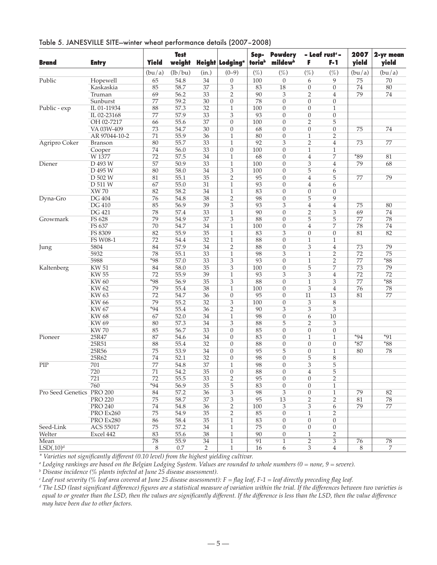| Table 5. JANESVILLE SITE-winter wheat performance details (2007-2008) |  |  |
|-----------------------------------------------------------------------|--|--|
|-----------------------------------------------------------------------|--|--|

| $(\%)$<br>(bu/a)<br>(lb/bu)<br>$(\%)$<br>$(\%)$<br>$(\%)$<br>(bu/a)<br>(in.)<br>$(0-9)$<br>(bu/a)<br>65<br>Public<br>54.8<br>9<br>75<br>70<br>Hopewell<br>34<br>$\boldsymbol{0}$<br>100<br>$\mathbf{0}$<br>6<br>85<br>58.7<br>18<br>$\boldsymbol{0}$<br>80<br>Kaskaskia<br>37<br>3<br>83<br>74<br>0<br>$\overline{2}$<br>56.2<br>90<br>79<br>69<br>33<br>$\overline{2}$<br>3<br>74<br>Truman<br>4<br>77<br>59.2<br>30<br>$\mathbf{0}$<br>78<br>$\overline{0}$<br>$\theta$<br>Sunburst<br>$\overline{0}$<br>88<br>57.3<br>Public - exp<br>IL 01-11934<br>32<br>100<br>$\overline{0}$<br>$\mathbf{1}$<br>$\mathbf{0}$<br>1<br>77<br>57.9<br>33<br>93<br>$\boldsymbol{0}$<br>IL 02-23168<br>3<br>$\theta$<br>$\boldsymbol{0}$<br>$\overline{2}$<br>5<br>OH 02-7217<br>66<br>55.6<br>37<br>$\overline{0}$<br>100<br>$\overline{0}$<br>68<br>VA 03W-409<br>73<br>54.7<br>30<br>$\boldsymbol{0}$<br>$\boldsymbol{0}$<br>$\boldsymbol{0}$<br>$\boldsymbol{0}$<br>75<br>74<br>71<br>55.9<br>36<br>$\mathbf{1}$<br>80<br>$\overline{0}$<br>$\mathbf{1}$<br>$\overline{2}$<br>AR 97044-10-2<br>80<br>55.7<br>$\overline{2}$<br>Agripro Coker<br>33<br>$\mathbf{1}$<br>92<br>3<br>4<br>73<br>77<br><b>Branson</b><br>74<br>56.0<br>33<br>100<br>$\overline{0}$<br>$\mathbf{1}$<br>$\mathbf{1}$<br>$\boldsymbol{0}$<br>Cooper<br>72<br>57.5<br>34<br>68<br>$\overline{4}$<br>7<br>$*89$<br>81<br>W 1377<br>$\mathbf{1}$<br>$\theta$<br>57<br>50.9<br>3<br>Diener<br>D 493 W<br>33<br>$\mathbf{1}$<br>100<br>$\theta$<br>79<br>68<br>4<br>5<br>D 495 W<br>80<br>58.0<br>34<br>3<br>100<br>$\overline{0}$<br>6<br>D 502 W<br>55.1<br>35<br>$\overline{2}$<br>95<br>$\overline{0}$<br>$\overline{4}$<br>5<br>79<br>81<br>77<br>D 511 W<br>67<br>55.0<br>31<br>93<br>$\overline{4}$<br>$\mathbf{1}$<br>$\theta$<br>6<br><b>XW70</b><br>82<br>58.2<br>34<br>83<br>$\overline{0}$<br>$\mathbf{1}$<br>$\theta$<br>$\boldsymbol{0}$<br><b>DG 404</b><br>38<br>$\overline{2}$<br>98<br>5<br>9<br>Dyna-Gro<br>76<br>54.8<br>$\overline{0}$<br><b>DG 410</b><br>85<br>56.9<br>3<br>93<br>3<br>$\overline{4}$<br>80<br>39<br>$\overline{4}$<br>75<br>$\overline{2}$<br><b>DG 421</b><br>78<br>57.4<br>33<br>90<br>$\overline{0}$<br>3<br>74<br>$\mathbf{1}$<br>69<br>Growmark<br>FS 628<br>79<br>3<br>88<br>5<br>5<br>54.9<br>37<br>$\theta$<br>77<br>78<br>7<br>FS 637<br>70<br>54.7<br>34<br>$\mathbf{1}$<br>$\overline{4}$<br>74<br>100<br>$\theta$<br>78<br>FS 8309<br>82<br>55.9<br>$\mathbf{1}$<br>83<br>3<br>$\overline{0}$<br>82<br>35<br>$\boldsymbol{0}$<br>81<br>72<br>32<br>88<br>FS W08-1<br>54.4<br>$\boldsymbol{0}$<br>$\mathbf{1}$<br>$\mathbf{1}$<br>$\mathbf{1}$<br>5804<br>84<br>57.9<br>34<br>$\overline{2}$<br>88<br>$\overline{0}$<br>3<br>$\overline{4}$<br>79<br>73<br>Jung<br>98<br>75<br>5932<br>78<br>55.1<br>33<br>3<br>$\mathbf{1}$<br>2<br>72<br>1<br>5988<br>$*98$<br>33<br>3<br>93<br>$\overline{0}$<br>$\mathbf{1}$<br>2<br>$*88$<br>57.0<br>77<br>5<br><b>KW 51</b><br>84<br>58.0<br>35<br>3<br>100<br>$\overline{0}$<br>7<br>73<br>79<br>Kaltenberg<br>93<br>3<br>3<br><b>KW 55</b><br>72<br>55.9<br>39<br>$\mathbf{1}$<br>4<br>72<br>72<br>$*88$<br>$*98$<br>56.9<br>35<br>3<br>88<br>$\overline{0}$<br>$\mathbf{1}$<br>3<br><b>KW60</b><br>77<br><b>KW62</b><br>55.4<br>79<br>38<br>$\mathbf{1}$<br>100<br>$\overline{0}$<br>3<br>4<br>76<br>78<br><b>KW63</b><br>72<br>54.7<br>36<br>95<br>$\overline{11}$<br>13<br>$\boldsymbol{0}$<br>$\theta$<br>81<br>77<br><b>KW 66</b><br>79<br>55.2<br>32<br>3<br>100<br>3<br>8<br>$\theta$<br>$*94$<br>$\overline{2}$<br>90<br>3<br>3<br>3<br>KW 67<br>55.4<br>36<br>67<br>52.0<br>$\mathbf{1}$<br>98<br>$\boldsymbol{0}$<br>6<br>10<br>KW 68<br>34<br>3<br>$\overline{2}$<br><b>KW 69</b><br>80<br>57.3<br>34<br>88<br>5<br>3<br><b>KW70</b><br>56.7<br>85<br>85<br>33<br>$\theta$<br>$\theta$<br>$\boldsymbol{0}$<br>$\boldsymbol{0}$<br>87<br>$*91$<br>25R47<br>34<br>$\overline{0}$<br>83<br>$\mathbf{1}$<br>$*94$<br>54.6<br>$\theta$<br>$\mathbf{1}$<br>25R51<br>88<br>$*87$<br>$*88$<br>88<br>55.4<br>32<br>$\theta$<br>$\overline{0}$<br>$\overline{0}$<br>$\boldsymbol{0}$<br>25R56<br>75<br>53.9<br>34<br>95<br>5<br>$\boldsymbol{0}$<br>78<br>$\boldsymbol{0}$<br>$\mathbf{1}$<br>80<br>5<br>25R62<br>74<br>52.1<br>32<br>98<br>8<br>$\theta$<br>$\overline{0}$<br>98<br>3<br>5<br>77<br>37<br>$\mathbf{1}$<br>$\theta$<br>701<br>54.8<br>5<br>720<br>71<br>54.2<br>35<br>$\boldsymbol{0}$<br>88<br>$\boldsymbol{0}$<br>$\overline{4}$<br>721<br>72<br>55.5<br>$\overline{2}$<br>95<br>$\overline{0}$<br>2<br>33<br>$\theta$<br>760<br>$*94$<br>56.9<br>5<br>83<br>$\boldsymbol{0}$<br>35<br>$\boldsymbol{0}$<br>$\mathbf{1}$<br>Pro Seed Genetics PRO 200<br>57.2<br>36<br>$\ensuremath{\mathsf{3}}$<br>98<br>3<br>$\boldsymbol{0}$<br>$\mathbf{1}$<br>84<br>79<br>82<br>95<br>2<br><b>PRO 220</b><br>75<br>58.7<br>37<br>3<br>13<br>2<br>81<br>78<br><b>PRO 240</b><br>$\overline{2}$<br>100<br>3<br>3<br>6<br>74<br>54.8<br>36<br>79<br>77<br>75<br>54.9<br>$\overline{2}$<br>85<br>$\overline{2}$<br>PRO Ex260<br>35<br>$\boldsymbol{0}$<br>$\mathbf{1}$<br>PRO Ex280<br>86<br>58.4<br>35<br>$\mathbf{1}$<br>83<br>$\boldsymbol{0}$<br>$\boldsymbol{0}$<br>0<br>Seed-Link<br>75<br>57.2<br>34<br>75<br>$\boldsymbol{0}$<br><b>ACS 55017</b><br>$\mathbf{1}$<br>$\boldsymbol{0}$<br>$\boldsymbol{0}$<br>90<br>$\overline{2}$<br>Welter<br>Excel 442<br>83<br>55.6<br>38<br>$\mathbf{1}$<br>$\boldsymbol{0}$<br>$\mathbf{1}$<br>$\overline{2}$<br>78<br>91<br>76<br>78<br>55.9<br>34<br>$\mathbf{1}$<br>3<br>1<br>$\overline{\text{LSD}(.10)^d}$<br>$\overline{3}$<br>$\mathbf{1}$<br>8<br>$0.7\,$<br>2<br>16<br>6<br>$\overline{4}$<br>8<br>7 | Brand            | <b>Entry</b> | <b>Yield</b> | <b>Test</b><br>weight | <b>Height Lodging</b> <sup>a</sup> | Sep-<br>toriab | <b>Powdery</b><br>mildew <sup>b</sup> | F | - Leaf rust <sup>c</sup> -<br>F-1 | 2007<br>yield | 2-yr mean<br>yield |
|-------------------------------------------------------------------------------------------------------------------------------------------------------------------------------------------------------------------------------------------------------------------------------------------------------------------------------------------------------------------------------------------------------------------------------------------------------------------------------------------------------------------------------------------------------------------------------------------------------------------------------------------------------------------------------------------------------------------------------------------------------------------------------------------------------------------------------------------------------------------------------------------------------------------------------------------------------------------------------------------------------------------------------------------------------------------------------------------------------------------------------------------------------------------------------------------------------------------------------------------------------------------------------------------------------------------------------------------------------------------------------------------------------------------------------------------------------------------------------------------------------------------------------------------------------------------------------------------------------------------------------------------------------------------------------------------------------------------------------------------------------------------------------------------------------------------------------------------------------------------------------------------------------------------------------------------------------------------------------------------------------------------------------------------------------------------------------------------------------------------------------------------------------------------------------------------------------------------------------------------------------------------------------------------------------------------------------------------------------------------------------------------------------------------------------------------------------------------------------------------------------------------------------------------------------------------------------------------------------------------------------------------------------------------------------------------------------------------------------------------------------------------------------------------------------------------------------------------------------------------------------------------------------------------------------------------------------------------------------------------------------------------------------------------------------------------------------------------------------------------------------------------------------------------------------------------------------------------------------------------------------------------------------------------------------------------------------------------------------------------------------------------------------------------------------------------------------------------------------------------------------------------------------------------------------------------------------------------------------------------------------------------------------------------------------------------------------------------------------------------------------------------------------------------------------------------------------------------------------------------------------------------------------------------------------------------------------------------------------------------------------------------------------------------------------------------------------------------------------------------------------------------------------------------------------------------------------------------------------------------------------------------------------------------------------------------------------------------------------------------------------------------------------------------------------------------------------------------------------------------------------------------------------------------------------------------------------------------------------------------------------------------------------------------------------------------------------------------------------------------------------------------------------------------------------------------------------------------------------------------------------------------------------------------------------------------------------------------------------------------------------------------------------------------------------------------------------------------------------------------------------------------------------------------------------------------------------------------------------------------------------------------------------------------------------------------------------------------------------------------------------------------------------------------------------------------------------------------------------------------------------------------------------------------------------------------------------------------------------------------------------------------------------------------------------------------------------------------|------------------|--------------|--------------|-----------------------|------------------------------------|----------------|---------------------------------------|---|-----------------------------------|---------------|--------------------|
|                                                                                                                                                                                                                                                                                                                                                                                                                                                                                                                                                                                                                                                                                                                                                                                                                                                                                                                                                                                                                                                                                                                                                                                                                                                                                                                                                                                                                                                                                                                                                                                                                                                                                                                                                                                                                                                                                                                                                                                                                                                                                                                                                                                                                                                                                                                                                                                                                                                                                                                                                                                                                                                                                                                                                                                                                                                                                                                                                                                                                                                                                                                                                                                                                                                                                                                                                                                                                                                                                                                                                                                                                                                                                                                                                                                                                                                                                                                                                                                                                                                                                                                                                                                                                                                                                                                                                                                                                                                                                                                                                                                                                                                                                                                                                                                                                                                                                                                                                                                                                                                                                                                                                                                                                                                                                                                                                                                                                                                                                                                                                                                                                                                                                                                   |                  |              |              |                       |                                    |                |                                       |   |                                   |               |                    |
|                                                                                                                                                                                                                                                                                                                                                                                                                                                                                                                                                                                                                                                                                                                                                                                                                                                                                                                                                                                                                                                                                                                                                                                                                                                                                                                                                                                                                                                                                                                                                                                                                                                                                                                                                                                                                                                                                                                                                                                                                                                                                                                                                                                                                                                                                                                                                                                                                                                                                                                                                                                                                                                                                                                                                                                                                                                                                                                                                                                                                                                                                                                                                                                                                                                                                                                                                                                                                                                                                                                                                                                                                                                                                                                                                                                                                                                                                                                                                                                                                                                                                                                                                                                                                                                                                                                                                                                                                                                                                                                                                                                                                                                                                                                                                                                                                                                                                                                                                                                                                                                                                                                                                                                                                                                                                                                                                                                                                                                                                                                                                                                                                                                                                                                   |                  |              |              |                       |                                    |                |                                       |   |                                   |               |                    |
|                                                                                                                                                                                                                                                                                                                                                                                                                                                                                                                                                                                                                                                                                                                                                                                                                                                                                                                                                                                                                                                                                                                                                                                                                                                                                                                                                                                                                                                                                                                                                                                                                                                                                                                                                                                                                                                                                                                                                                                                                                                                                                                                                                                                                                                                                                                                                                                                                                                                                                                                                                                                                                                                                                                                                                                                                                                                                                                                                                                                                                                                                                                                                                                                                                                                                                                                                                                                                                                                                                                                                                                                                                                                                                                                                                                                                                                                                                                                                                                                                                                                                                                                                                                                                                                                                                                                                                                                                                                                                                                                                                                                                                                                                                                                                                                                                                                                                                                                                                                                                                                                                                                                                                                                                                                                                                                                                                                                                                                                                                                                                                                                                                                                                                                   |                  |              |              |                       |                                    |                |                                       |   |                                   |               |                    |
|                                                                                                                                                                                                                                                                                                                                                                                                                                                                                                                                                                                                                                                                                                                                                                                                                                                                                                                                                                                                                                                                                                                                                                                                                                                                                                                                                                                                                                                                                                                                                                                                                                                                                                                                                                                                                                                                                                                                                                                                                                                                                                                                                                                                                                                                                                                                                                                                                                                                                                                                                                                                                                                                                                                                                                                                                                                                                                                                                                                                                                                                                                                                                                                                                                                                                                                                                                                                                                                                                                                                                                                                                                                                                                                                                                                                                                                                                                                                                                                                                                                                                                                                                                                                                                                                                                                                                                                                                                                                                                                                                                                                                                                                                                                                                                                                                                                                                                                                                                                                                                                                                                                                                                                                                                                                                                                                                                                                                                                                                                                                                                                                                                                                                                                   |                  |              |              |                       |                                    |                |                                       |   |                                   |               |                    |
|                                                                                                                                                                                                                                                                                                                                                                                                                                                                                                                                                                                                                                                                                                                                                                                                                                                                                                                                                                                                                                                                                                                                                                                                                                                                                                                                                                                                                                                                                                                                                                                                                                                                                                                                                                                                                                                                                                                                                                                                                                                                                                                                                                                                                                                                                                                                                                                                                                                                                                                                                                                                                                                                                                                                                                                                                                                                                                                                                                                                                                                                                                                                                                                                                                                                                                                                                                                                                                                                                                                                                                                                                                                                                                                                                                                                                                                                                                                                                                                                                                                                                                                                                                                                                                                                                                                                                                                                                                                                                                                                                                                                                                                                                                                                                                                                                                                                                                                                                                                                                                                                                                                                                                                                                                                                                                                                                                                                                                                                                                                                                                                                                                                                                                                   |                  |              |              |                       |                                    |                |                                       |   |                                   |               |                    |
|                                                                                                                                                                                                                                                                                                                                                                                                                                                                                                                                                                                                                                                                                                                                                                                                                                                                                                                                                                                                                                                                                                                                                                                                                                                                                                                                                                                                                                                                                                                                                                                                                                                                                                                                                                                                                                                                                                                                                                                                                                                                                                                                                                                                                                                                                                                                                                                                                                                                                                                                                                                                                                                                                                                                                                                                                                                                                                                                                                                                                                                                                                                                                                                                                                                                                                                                                                                                                                                                                                                                                                                                                                                                                                                                                                                                                                                                                                                                                                                                                                                                                                                                                                                                                                                                                                                                                                                                                                                                                                                                                                                                                                                                                                                                                                                                                                                                                                                                                                                                                                                                                                                                                                                                                                                                                                                                                                                                                                                                                                                                                                                                                                                                                                                   |                  |              |              |                       |                                    |                |                                       |   |                                   |               |                    |
|                                                                                                                                                                                                                                                                                                                                                                                                                                                                                                                                                                                                                                                                                                                                                                                                                                                                                                                                                                                                                                                                                                                                                                                                                                                                                                                                                                                                                                                                                                                                                                                                                                                                                                                                                                                                                                                                                                                                                                                                                                                                                                                                                                                                                                                                                                                                                                                                                                                                                                                                                                                                                                                                                                                                                                                                                                                                                                                                                                                                                                                                                                                                                                                                                                                                                                                                                                                                                                                                                                                                                                                                                                                                                                                                                                                                                                                                                                                                                                                                                                                                                                                                                                                                                                                                                                                                                                                                                                                                                                                                                                                                                                                                                                                                                                                                                                                                                                                                                                                                                                                                                                                                                                                                                                                                                                                                                                                                                                                                                                                                                                                                                                                                                                                   |                  |              |              |                       |                                    |                |                                       |   |                                   |               |                    |
|                                                                                                                                                                                                                                                                                                                                                                                                                                                                                                                                                                                                                                                                                                                                                                                                                                                                                                                                                                                                                                                                                                                                                                                                                                                                                                                                                                                                                                                                                                                                                                                                                                                                                                                                                                                                                                                                                                                                                                                                                                                                                                                                                                                                                                                                                                                                                                                                                                                                                                                                                                                                                                                                                                                                                                                                                                                                                                                                                                                                                                                                                                                                                                                                                                                                                                                                                                                                                                                                                                                                                                                                                                                                                                                                                                                                                                                                                                                                                                                                                                                                                                                                                                                                                                                                                                                                                                                                                                                                                                                                                                                                                                                                                                                                                                                                                                                                                                                                                                                                                                                                                                                                                                                                                                                                                                                                                                                                                                                                                                                                                                                                                                                                                                                   |                  |              |              |                       |                                    |                |                                       |   |                                   |               |                    |
|                                                                                                                                                                                                                                                                                                                                                                                                                                                                                                                                                                                                                                                                                                                                                                                                                                                                                                                                                                                                                                                                                                                                                                                                                                                                                                                                                                                                                                                                                                                                                                                                                                                                                                                                                                                                                                                                                                                                                                                                                                                                                                                                                                                                                                                                                                                                                                                                                                                                                                                                                                                                                                                                                                                                                                                                                                                                                                                                                                                                                                                                                                                                                                                                                                                                                                                                                                                                                                                                                                                                                                                                                                                                                                                                                                                                                                                                                                                                                                                                                                                                                                                                                                                                                                                                                                                                                                                                                                                                                                                                                                                                                                                                                                                                                                                                                                                                                                                                                                                                                                                                                                                                                                                                                                                                                                                                                                                                                                                                                                                                                                                                                                                                                                                   |                  |              |              |                       |                                    |                |                                       |   |                                   |               |                    |
|                                                                                                                                                                                                                                                                                                                                                                                                                                                                                                                                                                                                                                                                                                                                                                                                                                                                                                                                                                                                                                                                                                                                                                                                                                                                                                                                                                                                                                                                                                                                                                                                                                                                                                                                                                                                                                                                                                                                                                                                                                                                                                                                                                                                                                                                                                                                                                                                                                                                                                                                                                                                                                                                                                                                                                                                                                                                                                                                                                                                                                                                                                                                                                                                                                                                                                                                                                                                                                                                                                                                                                                                                                                                                                                                                                                                                                                                                                                                                                                                                                                                                                                                                                                                                                                                                                                                                                                                                                                                                                                                                                                                                                                                                                                                                                                                                                                                                                                                                                                                                                                                                                                                                                                                                                                                                                                                                                                                                                                                                                                                                                                                                                                                                                                   |                  |              |              |                       |                                    |                |                                       |   |                                   |               |                    |
|                                                                                                                                                                                                                                                                                                                                                                                                                                                                                                                                                                                                                                                                                                                                                                                                                                                                                                                                                                                                                                                                                                                                                                                                                                                                                                                                                                                                                                                                                                                                                                                                                                                                                                                                                                                                                                                                                                                                                                                                                                                                                                                                                                                                                                                                                                                                                                                                                                                                                                                                                                                                                                                                                                                                                                                                                                                                                                                                                                                                                                                                                                                                                                                                                                                                                                                                                                                                                                                                                                                                                                                                                                                                                                                                                                                                                                                                                                                                                                                                                                                                                                                                                                                                                                                                                                                                                                                                                                                                                                                                                                                                                                                                                                                                                                                                                                                                                                                                                                                                                                                                                                                                                                                                                                                                                                                                                                                                                                                                                                                                                                                                                                                                                                                   |                  |              |              |                       |                                    |                |                                       |   |                                   |               |                    |
|                                                                                                                                                                                                                                                                                                                                                                                                                                                                                                                                                                                                                                                                                                                                                                                                                                                                                                                                                                                                                                                                                                                                                                                                                                                                                                                                                                                                                                                                                                                                                                                                                                                                                                                                                                                                                                                                                                                                                                                                                                                                                                                                                                                                                                                                                                                                                                                                                                                                                                                                                                                                                                                                                                                                                                                                                                                                                                                                                                                                                                                                                                                                                                                                                                                                                                                                                                                                                                                                                                                                                                                                                                                                                                                                                                                                                                                                                                                                                                                                                                                                                                                                                                                                                                                                                                                                                                                                                                                                                                                                                                                                                                                                                                                                                                                                                                                                                                                                                                                                                                                                                                                                                                                                                                                                                                                                                                                                                                                                                                                                                                                                                                                                                                                   |                  |              |              |                       |                                    |                |                                       |   |                                   |               |                    |
|                                                                                                                                                                                                                                                                                                                                                                                                                                                                                                                                                                                                                                                                                                                                                                                                                                                                                                                                                                                                                                                                                                                                                                                                                                                                                                                                                                                                                                                                                                                                                                                                                                                                                                                                                                                                                                                                                                                                                                                                                                                                                                                                                                                                                                                                                                                                                                                                                                                                                                                                                                                                                                                                                                                                                                                                                                                                                                                                                                                                                                                                                                                                                                                                                                                                                                                                                                                                                                                                                                                                                                                                                                                                                                                                                                                                                                                                                                                                                                                                                                                                                                                                                                                                                                                                                                                                                                                                                                                                                                                                                                                                                                                                                                                                                                                                                                                                                                                                                                                                                                                                                                                                                                                                                                                                                                                                                                                                                                                                                                                                                                                                                                                                                                                   |                  |              |              |                       |                                    |                |                                       |   |                                   |               |                    |
|                                                                                                                                                                                                                                                                                                                                                                                                                                                                                                                                                                                                                                                                                                                                                                                                                                                                                                                                                                                                                                                                                                                                                                                                                                                                                                                                                                                                                                                                                                                                                                                                                                                                                                                                                                                                                                                                                                                                                                                                                                                                                                                                                                                                                                                                                                                                                                                                                                                                                                                                                                                                                                                                                                                                                                                                                                                                                                                                                                                                                                                                                                                                                                                                                                                                                                                                                                                                                                                                                                                                                                                                                                                                                                                                                                                                                                                                                                                                                                                                                                                                                                                                                                                                                                                                                                                                                                                                                                                                                                                                                                                                                                                                                                                                                                                                                                                                                                                                                                                                                                                                                                                                                                                                                                                                                                                                                                                                                                                                                                                                                                                                                                                                                                                   |                  |              |              |                       |                                    |                |                                       |   |                                   |               |                    |
|                                                                                                                                                                                                                                                                                                                                                                                                                                                                                                                                                                                                                                                                                                                                                                                                                                                                                                                                                                                                                                                                                                                                                                                                                                                                                                                                                                                                                                                                                                                                                                                                                                                                                                                                                                                                                                                                                                                                                                                                                                                                                                                                                                                                                                                                                                                                                                                                                                                                                                                                                                                                                                                                                                                                                                                                                                                                                                                                                                                                                                                                                                                                                                                                                                                                                                                                                                                                                                                                                                                                                                                                                                                                                                                                                                                                                                                                                                                                                                                                                                                                                                                                                                                                                                                                                                                                                                                                                                                                                                                                                                                                                                                                                                                                                                                                                                                                                                                                                                                                                                                                                                                                                                                                                                                                                                                                                                                                                                                                                                                                                                                                                                                                                                                   |                  |              |              |                       |                                    |                |                                       |   |                                   |               |                    |
|                                                                                                                                                                                                                                                                                                                                                                                                                                                                                                                                                                                                                                                                                                                                                                                                                                                                                                                                                                                                                                                                                                                                                                                                                                                                                                                                                                                                                                                                                                                                                                                                                                                                                                                                                                                                                                                                                                                                                                                                                                                                                                                                                                                                                                                                                                                                                                                                                                                                                                                                                                                                                                                                                                                                                                                                                                                                                                                                                                                                                                                                                                                                                                                                                                                                                                                                                                                                                                                                                                                                                                                                                                                                                                                                                                                                                                                                                                                                                                                                                                                                                                                                                                                                                                                                                                                                                                                                                                                                                                                                                                                                                                                                                                                                                                                                                                                                                                                                                                                                                                                                                                                                                                                                                                                                                                                                                                                                                                                                                                                                                                                                                                                                                                                   |                  |              |              |                       |                                    |                |                                       |   |                                   |               |                    |
|                                                                                                                                                                                                                                                                                                                                                                                                                                                                                                                                                                                                                                                                                                                                                                                                                                                                                                                                                                                                                                                                                                                                                                                                                                                                                                                                                                                                                                                                                                                                                                                                                                                                                                                                                                                                                                                                                                                                                                                                                                                                                                                                                                                                                                                                                                                                                                                                                                                                                                                                                                                                                                                                                                                                                                                                                                                                                                                                                                                                                                                                                                                                                                                                                                                                                                                                                                                                                                                                                                                                                                                                                                                                                                                                                                                                                                                                                                                                                                                                                                                                                                                                                                                                                                                                                                                                                                                                                                                                                                                                                                                                                                                                                                                                                                                                                                                                                                                                                                                                                                                                                                                                                                                                                                                                                                                                                                                                                                                                                                                                                                                                                                                                                                                   |                  |              |              |                       |                                    |                |                                       |   |                                   |               |                    |
|                                                                                                                                                                                                                                                                                                                                                                                                                                                                                                                                                                                                                                                                                                                                                                                                                                                                                                                                                                                                                                                                                                                                                                                                                                                                                                                                                                                                                                                                                                                                                                                                                                                                                                                                                                                                                                                                                                                                                                                                                                                                                                                                                                                                                                                                                                                                                                                                                                                                                                                                                                                                                                                                                                                                                                                                                                                                                                                                                                                                                                                                                                                                                                                                                                                                                                                                                                                                                                                                                                                                                                                                                                                                                                                                                                                                                                                                                                                                                                                                                                                                                                                                                                                                                                                                                                                                                                                                                                                                                                                                                                                                                                                                                                                                                                                                                                                                                                                                                                                                                                                                                                                                                                                                                                                                                                                                                                                                                                                                                                                                                                                                                                                                                                                   |                  |              |              |                       |                                    |                |                                       |   |                                   |               |                    |
|                                                                                                                                                                                                                                                                                                                                                                                                                                                                                                                                                                                                                                                                                                                                                                                                                                                                                                                                                                                                                                                                                                                                                                                                                                                                                                                                                                                                                                                                                                                                                                                                                                                                                                                                                                                                                                                                                                                                                                                                                                                                                                                                                                                                                                                                                                                                                                                                                                                                                                                                                                                                                                                                                                                                                                                                                                                                                                                                                                                                                                                                                                                                                                                                                                                                                                                                                                                                                                                                                                                                                                                                                                                                                                                                                                                                                                                                                                                                                                                                                                                                                                                                                                                                                                                                                                                                                                                                                                                                                                                                                                                                                                                                                                                                                                                                                                                                                                                                                                                                                                                                                                                                                                                                                                                                                                                                                                                                                                                                                                                                                                                                                                                                                                                   |                  |              |              |                       |                                    |                |                                       |   |                                   |               |                    |
|                                                                                                                                                                                                                                                                                                                                                                                                                                                                                                                                                                                                                                                                                                                                                                                                                                                                                                                                                                                                                                                                                                                                                                                                                                                                                                                                                                                                                                                                                                                                                                                                                                                                                                                                                                                                                                                                                                                                                                                                                                                                                                                                                                                                                                                                                                                                                                                                                                                                                                                                                                                                                                                                                                                                                                                                                                                                                                                                                                                                                                                                                                                                                                                                                                                                                                                                                                                                                                                                                                                                                                                                                                                                                                                                                                                                                                                                                                                                                                                                                                                                                                                                                                                                                                                                                                                                                                                                                                                                                                                                                                                                                                                                                                                                                                                                                                                                                                                                                                                                                                                                                                                                                                                                                                                                                                                                                                                                                                                                                                                                                                                                                                                                                                                   |                  |              |              |                       |                                    |                |                                       |   |                                   |               |                    |
|                                                                                                                                                                                                                                                                                                                                                                                                                                                                                                                                                                                                                                                                                                                                                                                                                                                                                                                                                                                                                                                                                                                                                                                                                                                                                                                                                                                                                                                                                                                                                                                                                                                                                                                                                                                                                                                                                                                                                                                                                                                                                                                                                                                                                                                                                                                                                                                                                                                                                                                                                                                                                                                                                                                                                                                                                                                                                                                                                                                                                                                                                                                                                                                                                                                                                                                                                                                                                                                                                                                                                                                                                                                                                                                                                                                                                                                                                                                                                                                                                                                                                                                                                                                                                                                                                                                                                                                                                                                                                                                                                                                                                                                                                                                                                                                                                                                                                                                                                                                                                                                                                                                                                                                                                                                                                                                                                                                                                                                                                                                                                                                                                                                                                                                   |                  |              |              |                       |                                    |                |                                       |   |                                   |               |                    |
|                                                                                                                                                                                                                                                                                                                                                                                                                                                                                                                                                                                                                                                                                                                                                                                                                                                                                                                                                                                                                                                                                                                                                                                                                                                                                                                                                                                                                                                                                                                                                                                                                                                                                                                                                                                                                                                                                                                                                                                                                                                                                                                                                                                                                                                                                                                                                                                                                                                                                                                                                                                                                                                                                                                                                                                                                                                                                                                                                                                                                                                                                                                                                                                                                                                                                                                                                                                                                                                                                                                                                                                                                                                                                                                                                                                                                                                                                                                                                                                                                                                                                                                                                                                                                                                                                                                                                                                                                                                                                                                                                                                                                                                                                                                                                                                                                                                                                                                                                                                                                                                                                                                                                                                                                                                                                                                                                                                                                                                                                                                                                                                                                                                                                                                   |                  |              |              |                       |                                    |                |                                       |   |                                   |               |                    |
|                                                                                                                                                                                                                                                                                                                                                                                                                                                                                                                                                                                                                                                                                                                                                                                                                                                                                                                                                                                                                                                                                                                                                                                                                                                                                                                                                                                                                                                                                                                                                                                                                                                                                                                                                                                                                                                                                                                                                                                                                                                                                                                                                                                                                                                                                                                                                                                                                                                                                                                                                                                                                                                                                                                                                                                                                                                                                                                                                                                                                                                                                                                                                                                                                                                                                                                                                                                                                                                                                                                                                                                                                                                                                                                                                                                                                                                                                                                                                                                                                                                                                                                                                                                                                                                                                                                                                                                                                                                                                                                                                                                                                                                                                                                                                                                                                                                                                                                                                                                                                                                                                                                                                                                                                                                                                                                                                                                                                                                                                                                                                                                                                                                                                                                   |                  |              |              |                       |                                    |                |                                       |   |                                   |               |                    |
|                                                                                                                                                                                                                                                                                                                                                                                                                                                                                                                                                                                                                                                                                                                                                                                                                                                                                                                                                                                                                                                                                                                                                                                                                                                                                                                                                                                                                                                                                                                                                                                                                                                                                                                                                                                                                                                                                                                                                                                                                                                                                                                                                                                                                                                                                                                                                                                                                                                                                                                                                                                                                                                                                                                                                                                                                                                                                                                                                                                                                                                                                                                                                                                                                                                                                                                                                                                                                                                                                                                                                                                                                                                                                                                                                                                                                                                                                                                                                                                                                                                                                                                                                                                                                                                                                                                                                                                                                                                                                                                                                                                                                                                                                                                                                                                                                                                                                                                                                                                                                                                                                                                                                                                                                                                                                                                                                                                                                                                                                                                                                                                                                                                                                                                   |                  |              |              |                       |                                    |                |                                       |   |                                   |               |                    |
|                                                                                                                                                                                                                                                                                                                                                                                                                                                                                                                                                                                                                                                                                                                                                                                                                                                                                                                                                                                                                                                                                                                                                                                                                                                                                                                                                                                                                                                                                                                                                                                                                                                                                                                                                                                                                                                                                                                                                                                                                                                                                                                                                                                                                                                                                                                                                                                                                                                                                                                                                                                                                                                                                                                                                                                                                                                                                                                                                                                                                                                                                                                                                                                                                                                                                                                                                                                                                                                                                                                                                                                                                                                                                                                                                                                                                                                                                                                                                                                                                                                                                                                                                                                                                                                                                                                                                                                                                                                                                                                                                                                                                                                                                                                                                                                                                                                                                                                                                                                                                                                                                                                                                                                                                                                                                                                                                                                                                                                                                                                                                                                                                                                                                                                   |                  |              |              |                       |                                    |                |                                       |   |                                   |               |                    |
|                                                                                                                                                                                                                                                                                                                                                                                                                                                                                                                                                                                                                                                                                                                                                                                                                                                                                                                                                                                                                                                                                                                                                                                                                                                                                                                                                                                                                                                                                                                                                                                                                                                                                                                                                                                                                                                                                                                                                                                                                                                                                                                                                                                                                                                                                                                                                                                                                                                                                                                                                                                                                                                                                                                                                                                                                                                                                                                                                                                                                                                                                                                                                                                                                                                                                                                                                                                                                                                                                                                                                                                                                                                                                                                                                                                                                                                                                                                                                                                                                                                                                                                                                                                                                                                                                                                                                                                                                                                                                                                                                                                                                                                                                                                                                                                                                                                                                                                                                                                                                                                                                                                                                                                                                                                                                                                                                                                                                                                                                                                                                                                                                                                                                                                   |                  |              |              |                       |                                    |                |                                       |   |                                   |               |                    |
|                                                                                                                                                                                                                                                                                                                                                                                                                                                                                                                                                                                                                                                                                                                                                                                                                                                                                                                                                                                                                                                                                                                                                                                                                                                                                                                                                                                                                                                                                                                                                                                                                                                                                                                                                                                                                                                                                                                                                                                                                                                                                                                                                                                                                                                                                                                                                                                                                                                                                                                                                                                                                                                                                                                                                                                                                                                                                                                                                                                                                                                                                                                                                                                                                                                                                                                                                                                                                                                                                                                                                                                                                                                                                                                                                                                                                                                                                                                                                                                                                                                                                                                                                                                                                                                                                                                                                                                                                                                                                                                                                                                                                                                                                                                                                                                                                                                                                                                                                                                                                                                                                                                                                                                                                                                                                                                                                                                                                                                                                                                                                                                                                                                                                                                   |                  |              |              |                       |                                    |                |                                       |   |                                   |               |                    |
|                                                                                                                                                                                                                                                                                                                                                                                                                                                                                                                                                                                                                                                                                                                                                                                                                                                                                                                                                                                                                                                                                                                                                                                                                                                                                                                                                                                                                                                                                                                                                                                                                                                                                                                                                                                                                                                                                                                                                                                                                                                                                                                                                                                                                                                                                                                                                                                                                                                                                                                                                                                                                                                                                                                                                                                                                                                                                                                                                                                                                                                                                                                                                                                                                                                                                                                                                                                                                                                                                                                                                                                                                                                                                                                                                                                                                                                                                                                                                                                                                                                                                                                                                                                                                                                                                                                                                                                                                                                                                                                                                                                                                                                                                                                                                                                                                                                                                                                                                                                                                                                                                                                                                                                                                                                                                                                                                                                                                                                                                                                                                                                                                                                                                                                   |                  |              |              |                       |                                    |                |                                       |   |                                   |               |                    |
|                                                                                                                                                                                                                                                                                                                                                                                                                                                                                                                                                                                                                                                                                                                                                                                                                                                                                                                                                                                                                                                                                                                                                                                                                                                                                                                                                                                                                                                                                                                                                                                                                                                                                                                                                                                                                                                                                                                                                                                                                                                                                                                                                                                                                                                                                                                                                                                                                                                                                                                                                                                                                                                                                                                                                                                                                                                                                                                                                                                                                                                                                                                                                                                                                                                                                                                                                                                                                                                                                                                                                                                                                                                                                                                                                                                                                                                                                                                                                                                                                                                                                                                                                                                                                                                                                                                                                                                                                                                                                                                                                                                                                                                                                                                                                                                                                                                                                                                                                                                                                                                                                                                                                                                                                                                                                                                                                                                                                                                                                                                                                                                                                                                                                                                   |                  |              |              |                       |                                    |                |                                       |   |                                   |               |                    |
|                                                                                                                                                                                                                                                                                                                                                                                                                                                                                                                                                                                                                                                                                                                                                                                                                                                                                                                                                                                                                                                                                                                                                                                                                                                                                                                                                                                                                                                                                                                                                                                                                                                                                                                                                                                                                                                                                                                                                                                                                                                                                                                                                                                                                                                                                                                                                                                                                                                                                                                                                                                                                                                                                                                                                                                                                                                                                                                                                                                                                                                                                                                                                                                                                                                                                                                                                                                                                                                                                                                                                                                                                                                                                                                                                                                                                                                                                                                                                                                                                                                                                                                                                                                                                                                                                                                                                                                                                                                                                                                                                                                                                                                                                                                                                                                                                                                                                                                                                                                                                                                                                                                                                                                                                                                                                                                                                                                                                                                                                                                                                                                                                                                                                                                   |                  |              |              |                       |                                    |                |                                       |   |                                   |               |                    |
|                                                                                                                                                                                                                                                                                                                                                                                                                                                                                                                                                                                                                                                                                                                                                                                                                                                                                                                                                                                                                                                                                                                                                                                                                                                                                                                                                                                                                                                                                                                                                                                                                                                                                                                                                                                                                                                                                                                                                                                                                                                                                                                                                                                                                                                                                                                                                                                                                                                                                                                                                                                                                                                                                                                                                                                                                                                                                                                                                                                                                                                                                                                                                                                                                                                                                                                                                                                                                                                                                                                                                                                                                                                                                                                                                                                                                                                                                                                                                                                                                                                                                                                                                                                                                                                                                                                                                                                                                                                                                                                                                                                                                                                                                                                                                                                                                                                                                                                                                                                                                                                                                                                                                                                                                                                                                                                                                                                                                                                                                                                                                                                                                                                                                                                   |                  |              |              |                       |                                    |                |                                       |   |                                   |               |                    |
|                                                                                                                                                                                                                                                                                                                                                                                                                                                                                                                                                                                                                                                                                                                                                                                                                                                                                                                                                                                                                                                                                                                                                                                                                                                                                                                                                                                                                                                                                                                                                                                                                                                                                                                                                                                                                                                                                                                                                                                                                                                                                                                                                                                                                                                                                                                                                                                                                                                                                                                                                                                                                                                                                                                                                                                                                                                                                                                                                                                                                                                                                                                                                                                                                                                                                                                                                                                                                                                                                                                                                                                                                                                                                                                                                                                                                                                                                                                                                                                                                                                                                                                                                                                                                                                                                                                                                                                                                                                                                                                                                                                                                                                                                                                                                                                                                                                                                                                                                                                                                                                                                                                                                                                                                                                                                                                                                                                                                                                                                                                                                                                                                                                                                                                   |                  |              |              |                       |                                    |                |                                       |   |                                   |               |                    |
|                                                                                                                                                                                                                                                                                                                                                                                                                                                                                                                                                                                                                                                                                                                                                                                                                                                                                                                                                                                                                                                                                                                                                                                                                                                                                                                                                                                                                                                                                                                                                                                                                                                                                                                                                                                                                                                                                                                                                                                                                                                                                                                                                                                                                                                                                                                                                                                                                                                                                                                                                                                                                                                                                                                                                                                                                                                                                                                                                                                                                                                                                                                                                                                                                                                                                                                                                                                                                                                                                                                                                                                                                                                                                                                                                                                                                                                                                                                                                                                                                                                                                                                                                                                                                                                                                                                                                                                                                                                                                                                                                                                                                                                                                                                                                                                                                                                                                                                                                                                                                                                                                                                                                                                                                                                                                                                                                                                                                                                                                                                                                                                                                                                                                                                   |                  |              |              |                       |                                    |                |                                       |   |                                   |               |                    |
|                                                                                                                                                                                                                                                                                                                                                                                                                                                                                                                                                                                                                                                                                                                                                                                                                                                                                                                                                                                                                                                                                                                                                                                                                                                                                                                                                                                                                                                                                                                                                                                                                                                                                                                                                                                                                                                                                                                                                                                                                                                                                                                                                                                                                                                                                                                                                                                                                                                                                                                                                                                                                                                                                                                                                                                                                                                                                                                                                                                                                                                                                                                                                                                                                                                                                                                                                                                                                                                                                                                                                                                                                                                                                                                                                                                                                                                                                                                                                                                                                                                                                                                                                                                                                                                                                                                                                                                                                                                                                                                                                                                                                                                                                                                                                                                                                                                                                                                                                                                                                                                                                                                                                                                                                                                                                                                                                                                                                                                                                                                                                                                                                                                                                                                   |                  |              |              |                       |                                    |                |                                       |   |                                   |               |                    |
|                                                                                                                                                                                                                                                                                                                                                                                                                                                                                                                                                                                                                                                                                                                                                                                                                                                                                                                                                                                                                                                                                                                                                                                                                                                                                                                                                                                                                                                                                                                                                                                                                                                                                                                                                                                                                                                                                                                                                                                                                                                                                                                                                                                                                                                                                                                                                                                                                                                                                                                                                                                                                                                                                                                                                                                                                                                                                                                                                                                                                                                                                                                                                                                                                                                                                                                                                                                                                                                                                                                                                                                                                                                                                                                                                                                                                                                                                                                                                                                                                                                                                                                                                                                                                                                                                                                                                                                                                                                                                                                                                                                                                                                                                                                                                                                                                                                                                                                                                                                                                                                                                                                                                                                                                                                                                                                                                                                                                                                                                                                                                                                                                                                                                                                   |                  |              |              |                       |                                    |                |                                       |   |                                   |               |                    |
|                                                                                                                                                                                                                                                                                                                                                                                                                                                                                                                                                                                                                                                                                                                                                                                                                                                                                                                                                                                                                                                                                                                                                                                                                                                                                                                                                                                                                                                                                                                                                                                                                                                                                                                                                                                                                                                                                                                                                                                                                                                                                                                                                                                                                                                                                                                                                                                                                                                                                                                                                                                                                                                                                                                                                                                                                                                                                                                                                                                                                                                                                                                                                                                                                                                                                                                                                                                                                                                                                                                                                                                                                                                                                                                                                                                                                                                                                                                                                                                                                                                                                                                                                                                                                                                                                                                                                                                                                                                                                                                                                                                                                                                                                                                                                                                                                                                                                                                                                                                                                                                                                                                                                                                                                                                                                                                                                                                                                                                                                                                                                                                                                                                                                                                   |                  |              |              |                       |                                    |                |                                       |   |                                   |               |                    |
|                                                                                                                                                                                                                                                                                                                                                                                                                                                                                                                                                                                                                                                                                                                                                                                                                                                                                                                                                                                                                                                                                                                                                                                                                                                                                                                                                                                                                                                                                                                                                                                                                                                                                                                                                                                                                                                                                                                                                                                                                                                                                                                                                                                                                                                                                                                                                                                                                                                                                                                                                                                                                                                                                                                                                                                                                                                                                                                                                                                                                                                                                                                                                                                                                                                                                                                                                                                                                                                                                                                                                                                                                                                                                                                                                                                                                                                                                                                                                                                                                                                                                                                                                                                                                                                                                                                                                                                                                                                                                                                                                                                                                                                                                                                                                                                                                                                                                                                                                                                                                                                                                                                                                                                                                                                                                                                                                                                                                                                                                                                                                                                                                                                                                                                   |                  |              |              |                       |                                    |                |                                       |   |                                   |               |                    |
|                                                                                                                                                                                                                                                                                                                                                                                                                                                                                                                                                                                                                                                                                                                                                                                                                                                                                                                                                                                                                                                                                                                                                                                                                                                                                                                                                                                                                                                                                                                                                                                                                                                                                                                                                                                                                                                                                                                                                                                                                                                                                                                                                                                                                                                                                                                                                                                                                                                                                                                                                                                                                                                                                                                                                                                                                                                                                                                                                                                                                                                                                                                                                                                                                                                                                                                                                                                                                                                                                                                                                                                                                                                                                                                                                                                                                                                                                                                                                                                                                                                                                                                                                                                                                                                                                                                                                                                                                                                                                                                                                                                                                                                                                                                                                                                                                                                                                                                                                                                                                                                                                                                                                                                                                                                                                                                                                                                                                                                                                                                                                                                                                                                                                                                   |                  |              |              |                       |                                    |                |                                       |   |                                   |               |                    |
|                                                                                                                                                                                                                                                                                                                                                                                                                                                                                                                                                                                                                                                                                                                                                                                                                                                                                                                                                                                                                                                                                                                                                                                                                                                                                                                                                                                                                                                                                                                                                                                                                                                                                                                                                                                                                                                                                                                                                                                                                                                                                                                                                                                                                                                                                                                                                                                                                                                                                                                                                                                                                                                                                                                                                                                                                                                                                                                                                                                                                                                                                                                                                                                                                                                                                                                                                                                                                                                                                                                                                                                                                                                                                                                                                                                                                                                                                                                                                                                                                                                                                                                                                                                                                                                                                                                                                                                                                                                                                                                                                                                                                                                                                                                                                                                                                                                                                                                                                                                                                                                                                                                                                                                                                                                                                                                                                                                                                                                                                                                                                                                                                                                                                                                   | Pioneer          |              |              |                       |                                    |                |                                       |   |                                   |               |                    |
|                                                                                                                                                                                                                                                                                                                                                                                                                                                                                                                                                                                                                                                                                                                                                                                                                                                                                                                                                                                                                                                                                                                                                                                                                                                                                                                                                                                                                                                                                                                                                                                                                                                                                                                                                                                                                                                                                                                                                                                                                                                                                                                                                                                                                                                                                                                                                                                                                                                                                                                                                                                                                                                                                                                                                                                                                                                                                                                                                                                                                                                                                                                                                                                                                                                                                                                                                                                                                                                                                                                                                                                                                                                                                                                                                                                                                                                                                                                                                                                                                                                                                                                                                                                                                                                                                                                                                                                                                                                                                                                                                                                                                                                                                                                                                                                                                                                                                                                                                                                                                                                                                                                                                                                                                                                                                                                                                                                                                                                                                                                                                                                                                                                                                                                   |                  |              |              |                       |                                    |                |                                       |   |                                   |               |                    |
|                                                                                                                                                                                                                                                                                                                                                                                                                                                                                                                                                                                                                                                                                                                                                                                                                                                                                                                                                                                                                                                                                                                                                                                                                                                                                                                                                                                                                                                                                                                                                                                                                                                                                                                                                                                                                                                                                                                                                                                                                                                                                                                                                                                                                                                                                                                                                                                                                                                                                                                                                                                                                                                                                                                                                                                                                                                                                                                                                                                                                                                                                                                                                                                                                                                                                                                                                                                                                                                                                                                                                                                                                                                                                                                                                                                                                                                                                                                                                                                                                                                                                                                                                                                                                                                                                                                                                                                                                                                                                                                                                                                                                                                                                                                                                                                                                                                                                                                                                                                                                                                                                                                                                                                                                                                                                                                                                                                                                                                                                                                                                                                                                                                                                                                   |                  |              |              |                       |                                    |                |                                       |   |                                   |               |                    |
|                                                                                                                                                                                                                                                                                                                                                                                                                                                                                                                                                                                                                                                                                                                                                                                                                                                                                                                                                                                                                                                                                                                                                                                                                                                                                                                                                                                                                                                                                                                                                                                                                                                                                                                                                                                                                                                                                                                                                                                                                                                                                                                                                                                                                                                                                                                                                                                                                                                                                                                                                                                                                                                                                                                                                                                                                                                                                                                                                                                                                                                                                                                                                                                                                                                                                                                                                                                                                                                                                                                                                                                                                                                                                                                                                                                                                                                                                                                                                                                                                                                                                                                                                                                                                                                                                                                                                                                                                                                                                                                                                                                                                                                                                                                                                                                                                                                                                                                                                                                                                                                                                                                                                                                                                                                                                                                                                                                                                                                                                                                                                                                                                                                                                                                   |                  |              |              |                       |                                    |                |                                       |   |                                   |               |                    |
|                                                                                                                                                                                                                                                                                                                                                                                                                                                                                                                                                                                                                                                                                                                                                                                                                                                                                                                                                                                                                                                                                                                                                                                                                                                                                                                                                                                                                                                                                                                                                                                                                                                                                                                                                                                                                                                                                                                                                                                                                                                                                                                                                                                                                                                                                                                                                                                                                                                                                                                                                                                                                                                                                                                                                                                                                                                                                                                                                                                                                                                                                                                                                                                                                                                                                                                                                                                                                                                                                                                                                                                                                                                                                                                                                                                                                                                                                                                                                                                                                                                                                                                                                                                                                                                                                                                                                                                                                                                                                                                                                                                                                                                                                                                                                                                                                                                                                                                                                                                                                                                                                                                                                                                                                                                                                                                                                                                                                                                                                                                                                                                                                                                                                                                   | $\overline{PIP}$ |              |              |                       |                                    |                |                                       |   |                                   |               |                    |
|                                                                                                                                                                                                                                                                                                                                                                                                                                                                                                                                                                                                                                                                                                                                                                                                                                                                                                                                                                                                                                                                                                                                                                                                                                                                                                                                                                                                                                                                                                                                                                                                                                                                                                                                                                                                                                                                                                                                                                                                                                                                                                                                                                                                                                                                                                                                                                                                                                                                                                                                                                                                                                                                                                                                                                                                                                                                                                                                                                                                                                                                                                                                                                                                                                                                                                                                                                                                                                                                                                                                                                                                                                                                                                                                                                                                                                                                                                                                                                                                                                                                                                                                                                                                                                                                                                                                                                                                                                                                                                                                                                                                                                                                                                                                                                                                                                                                                                                                                                                                                                                                                                                                                                                                                                                                                                                                                                                                                                                                                                                                                                                                                                                                                                                   |                  |              |              |                       |                                    |                |                                       |   |                                   |               |                    |
|                                                                                                                                                                                                                                                                                                                                                                                                                                                                                                                                                                                                                                                                                                                                                                                                                                                                                                                                                                                                                                                                                                                                                                                                                                                                                                                                                                                                                                                                                                                                                                                                                                                                                                                                                                                                                                                                                                                                                                                                                                                                                                                                                                                                                                                                                                                                                                                                                                                                                                                                                                                                                                                                                                                                                                                                                                                                                                                                                                                                                                                                                                                                                                                                                                                                                                                                                                                                                                                                                                                                                                                                                                                                                                                                                                                                                                                                                                                                                                                                                                                                                                                                                                                                                                                                                                                                                                                                                                                                                                                                                                                                                                                                                                                                                                                                                                                                                                                                                                                                                                                                                                                                                                                                                                                                                                                                                                                                                                                                                                                                                                                                                                                                                                                   |                  |              |              |                       |                                    |                |                                       |   |                                   |               |                    |
|                                                                                                                                                                                                                                                                                                                                                                                                                                                                                                                                                                                                                                                                                                                                                                                                                                                                                                                                                                                                                                                                                                                                                                                                                                                                                                                                                                                                                                                                                                                                                                                                                                                                                                                                                                                                                                                                                                                                                                                                                                                                                                                                                                                                                                                                                                                                                                                                                                                                                                                                                                                                                                                                                                                                                                                                                                                                                                                                                                                                                                                                                                                                                                                                                                                                                                                                                                                                                                                                                                                                                                                                                                                                                                                                                                                                                                                                                                                                                                                                                                                                                                                                                                                                                                                                                                                                                                                                                                                                                                                                                                                                                                                                                                                                                                                                                                                                                                                                                                                                                                                                                                                                                                                                                                                                                                                                                                                                                                                                                                                                                                                                                                                                                                                   |                  |              |              |                       |                                    |                |                                       |   |                                   |               |                    |
|                                                                                                                                                                                                                                                                                                                                                                                                                                                                                                                                                                                                                                                                                                                                                                                                                                                                                                                                                                                                                                                                                                                                                                                                                                                                                                                                                                                                                                                                                                                                                                                                                                                                                                                                                                                                                                                                                                                                                                                                                                                                                                                                                                                                                                                                                                                                                                                                                                                                                                                                                                                                                                                                                                                                                                                                                                                                                                                                                                                                                                                                                                                                                                                                                                                                                                                                                                                                                                                                                                                                                                                                                                                                                                                                                                                                                                                                                                                                                                                                                                                                                                                                                                                                                                                                                                                                                                                                                                                                                                                                                                                                                                                                                                                                                                                                                                                                                                                                                                                                                                                                                                                                                                                                                                                                                                                                                                                                                                                                                                                                                                                                                                                                                                                   |                  |              |              |                       |                                    |                |                                       |   |                                   |               |                    |
|                                                                                                                                                                                                                                                                                                                                                                                                                                                                                                                                                                                                                                                                                                                                                                                                                                                                                                                                                                                                                                                                                                                                                                                                                                                                                                                                                                                                                                                                                                                                                                                                                                                                                                                                                                                                                                                                                                                                                                                                                                                                                                                                                                                                                                                                                                                                                                                                                                                                                                                                                                                                                                                                                                                                                                                                                                                                                                                                                                                                                                                                                                                                                                                                                                                                                                                                                                                                                                                                                                                                                                                                                                                                                                                                                                                                                                                                                                                                                                                                                                                                                                                                                                                                                                                                                                                                                                                                                                                                                                                                                                                                                                                                                                                                                                                                                                                                                                                                                                                                                                                                                                                                                                                                                                                                                                                                                                                                                                                                                                                                                                                                                                                                                                                   |                  |              |              |                       |                                    |                |                                       |   |                                   |               |                    |
|                                                                                                                                                                                                                                                                                                                                                                                                                                                                                                                                                                                                                                                                                                                                                                                                                                                                                                                                                                                                                                                                                                                                                                                                                                                                                                                                                                                                                                                                                                                                                                                                                                                                                                                                                                                                                                                                                                                                                                                                                                                                                                                                                                                                                                                                                                                                                                                                                                                                                                                                                                                                                                                                                                                                                                                                                                                                                                                                                                                                                                                                                                                                                                                                                                                                                                                                                                                                                                                                                                                                                                                                                                                                                                                                                                                                                                                                                                                                                                                                                                                                                                                                                                                                                                                                                                                                                                                                                                                                                                                                                                                                                                                                                                                                                                                                                                                                                                                                                                                                                                                                                                                                                                                                                                                                                                                                                                                                                                                                                                                                                                                                                                                                                                                   |                  |              |              |                       |                                    |                |                                       |   |                                   |               |                    |
|                                                                                                                                                                                                                                                                                                                                                                                                                                                                                                                                                                                                                                                                                                                                                                                                                                                                                                                                                                                                                                                                                                                                                                                                                                                                                                                                                                                                                                                                                                                                                                                                                                                                                                                                                                                                                                                                                                                                                                                                                                                                                                                                                                                                                                                                                                                                                                                                                                                                                                                                                                                                                                                                                                                                                                                                                                                                                                                                                                                                                                                                                                                                                                                                                                                                                                                                                                                                                                                                                                                                                                                                                                                                                                                                                                                                                                                                                                                                                                                                                                                                                                                                                                                                                                                                                                                                                                                                                                                                                                                                                                                                                                                                                                                                                                                                                                                                                                                                                                                                                                                                                                                                                                                                                                                                                                                                                                                                                                                                                                                                                                                                                                                                                                                   |                  |              |              |                       |                                    |                |                                       |   |                                   |               |                    |
|                                                                                                                                                                                                                                                                                                                                                                                                                                                                                                                                                                                                                                                                                                                                                                                                                                                                                                                                                                                                                                                                                                                                                                                                                                                                                                                                                                                                                                                                                                                                                                                                                                                                                                                                                                                                                                                                                                                                                                                                                                                                                                                                                                                                                                                                                                                                                                                                                                                                                                                                                                                                                                                                                                                                                                                                                                                                                                                                                                                                                                                                                                                                                                                                                                                                                                                                                                                                                                                                                                                                                                                                                                                                                                                                                                                                                                                                                                                                                                                                                                                                                                                                                                                                                                                                                                                                                                                                                                                                                                                                                                                                                                                                                                                                                                                                                                                                                                                                                                                                                                                                                                                                                                                                                                                                                                                                                                                                                                                                                                                                                                                                                                                                                                                   |                  |              |              |                       |                                    |                |                                       |   |                                   |               |                    |
|                                                                                                                                                                                                                                                                                                                                                                                                                                                                                                                                                                                                                                                                                                                                                                                                                                                                                                                                                                                                                                                                                                                                                                                                                                                                                                                                                                                                                                                                                                                                                                                                                                                                                                                                                                                                                                                                                                                                                                                                                                                                                                                                                                                                                                                                                                                                                                                                                                                                                                                                                                                                                                                                                                                                                                                                                                                                                                                                                                                                                                                                                                                                                                                                                                                                                                                                                                                                                                                                                                                                                                                                                                                                                                                                                                                                                                                                                                                                                                                                                                                                                                                                                                                                                                                                                                                                                                                                                                                                                                                                                                                                                                                                                                                                                                                                                                                                                                                                                                                                                                                                                                                                                                                                                                                                                                                                                                                                                                                                                                                                                                                                                                                                                                                   |                  |              |              |                       |                                    |                |                                       |   |                                   |               |                    |
|                                                                                                                                                                                                                                                                                                                                                                                                                                                                                                                                                                                                                                                                                                                                                                                                                                                                                                                                                                                                                                                                                                                                                                                                                                                                                                                                                                                                                                                                                                                                                                                                                                                                                                                                                                                                                                                                                                                                                                                                                                                                                                                                                                                                                                                                                                                                                                                                                                                                                                                                                                                                                                                                                                                                                                                                                                                                                                                                                                                                                                                                                                                                                                                                                                                                                                                                                                                                                                                                                                                                                                                                                                                                                                                                                                                                                                                                                                                                                                                                                                                                                                                                                                                                                                                                                                                                                                                                                                                                                                                                                                                                                                                                                                                                                                                                                                                                                                                                                                                                                                                                                                                                                                                                                                                                                                                                                                                                                                                                                                                                                                                                                                                                                                                   |                  |              |              |                       |                                    |                |                                       |   |                                   |               |                    |
|                                                                                                                                                                                                                                                                                                                                                                                                                                                                                                                                                                                                                                                                                                                                                                                                                                                                                                                                                                                                                                                                                                                                                                                                                                                                                                                                                                                                                                                                                                                                                                                                                                                                                                                                                                                                                                                                                                                                                                                                                                                                                                                                                                                                                                                                                                                                                                                                                                                                                                                                                                                                                                                                                                                                                                                                                                                                                                                                                                                                                                                                                                                                                                                                                                                                                                                                                                                                                                                                                                                                                                                                                                                                                                                                                                                                                                                                                                                                                                                                                                                                                                                                                                                                                                                                                                                                                                                                                                                                                                                                                                                                                                                                                                                                                                                                                                                                                                                                                                                                                                                                                                                                                                                                                                                                                                                                                                                                                                                                                                                                                                                                                                                                                                                   | Mean             |              |              |                       |                                    |                |                                       |   |                                   |               |                    |
|                                                                                                                                                                                                                                                                                                                                                                                                                                                                                                                                                                                                                                                                                                                                                                                                                                                                                                                                                                                                                                                                                                                                                                                                                                                                                                                                                                                                                                                                                                                                                                                                                                                                                                                                                                                                                                                                                                                                                                                                                                                                                                                                                                                                                                                                                                                                                                                                                                                                                                                                                                                                                                                                                                                                                                                                                                                                                                                                                                                                                                                                                                                                                                                                                                                                                                                                                                                                                                                                                                                                                                                                                                                                                                                                                                                                                                                                                                                                                                                                                                                                                                                                                                                                                                                                                                                                                                                                                                                                                                                                                                                                                                                                                                                                                                                                                                                                                                                                                                                                                                                                                                                                                                                                                                                                                                                                                                                                                                                                                                                                                                                                                                                                                                                   |                  |              |              |                       |                                    |                |                                       |   |                                   |               |                    |

*\* Varieties not significantly different (0.10 level) from the highest yielding cultivar.*

*<sup>a</sup> Lodging rankings are based on the Belgian Lodging System. Values are rounded to whole numbers (0 = none, 9 = severe).*

*<sup>b</sup> Disease incidence (% plants infected at June 25 disease assessment).*

*<sup>c</sup> Leaf rust severity (% leaf area covered at June 25 disease assessment): F = flag leaf, F-1 = leaf directly preceding flag leaf.*

*<sup>d</sup> The LSD (least significant difference) figures are a statistical measure of variation within the trial. If the differences between two varieties is equal to or greater than the LSD, then the values are significantly different. If the difference is less than the LSD, then the value difference may have been due to other factors.*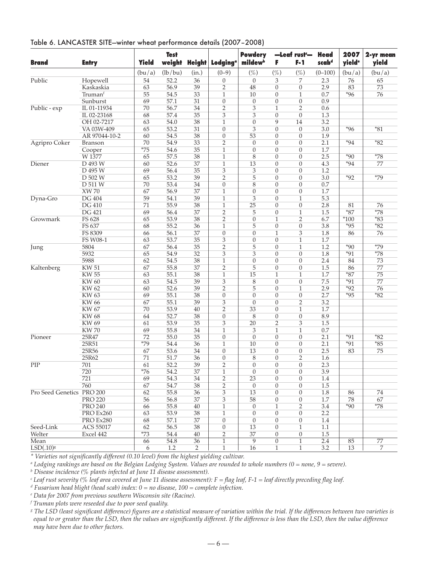| Table 6. LANCASTER SITE-winter wheat performance details (2007-2008) |  |  |  |  |  |
|----------------------------------------------------------------------|--|--|--|--|--|
|----------------------------------------------------------------------|--|--|--|--|--|

| (lb/bu)<br>$(\%)$<br>(bu/a)<br>(in.)<br>$(0-9)$<br>$(\%)$<br>$(\%)$<br>$(0 - 100)$<br>(bu/a)<br>(bu/a)<br>52.2<br>Public<br>54<br>$\overline{0}$<br>3<br>7<br>76<br>65<br>Hopewell<br>36<br>$\boldsymbol{0}$<br>2.3<br>56.9<br>39<br>$\overline{2}$<br>48<br>$\boldsymbol{0}$<br>2.9<br>83<br>73<br>Kaskaskia<br>63<br>$\overline{0}$<br>55<br>33<br>$*96$<br>54.5<br>10<br>0<br>0.7<br>76<br>Truman‡<br>1<br>$\mathbf{1}$<br>69<br>57.1<br>31<br>$\overline{0}$<br>$\overline{0}$<br>0.9<br>Sunburst<br>$\theta$<br>$\overline{0}$<br>Public - exp<br>IL 01-11934<br>56.7<br>34<br>2<br>3<br>$\overline{2}$<br>0.6<br>70<br>1<br>57.4<br>35<br>3<br>3<br>$\overline{0}$<br>$\overline{0}$<br>1.3<br>IL 02-23168<br>68<br>63<br>54.0<br>38<br>$\theta$<br>9<br>14<br>3.2<br>OH 02-7217<br>$\mathbf{1}$<br>3<br>$*96$<br>$*81$<br>VA 03W-409<br>65<br>53.2<br>31<br>$\boldsymbol{0}$<br>$\overline{0}$<br>$\theta$<br>3.0<br>38<br>54.5<br>53<br>AR 97044-10-2<br>60<br>$\overline{0}$<br>0<br>$\overline{0}$<br>1.9<br>54.9<br>33<br>$\overline{2}$<br>2.1<br>$*94$<br>$*82$<br>Agripro Coker<br>70<br>$\theta$<br>0<br>$\overline{0}$<br>Branson<br>$*75$<br>35<br>54.6<br>$\mathbf{0}$<br>0<br>$\boldsymbol{0}$<br>1.7<br>Cooper<br>1<br>$*78$<br>65<br>57.5<br>38<br>$\mathbf{1}$<br>8<br>$\overline{0}$<br>$\overline{0}$<br>2.5<br>$*90$<br>W 1377<br>$*94$<br>Diener<br>D 493 W<br>52.6<br>37<br>13<br>$\overline{0}$<br>$\overline{0}$<br>60<br>1<br>4.3<br>77<br>69<br>35<br>3<br>$\ensuremath{\mathsf{3}}$<br>$\boldsymbol{0}$<br>1.2<br>D 495 W<br>56.4<br>0<br>53.2<br>5<br>$*79$<br>D 502 W<br>65<br>39<br>$\overline{2}$<br>$\overline{0}$<br>3.0<br>$*92$<br>$\overline{0}$<br>8<br>D 511 W<br>70<br>53.4<br>34<br>$\boldsymbol{0}$<br>$\overline{0}$<br>$\overline{0}$<br>0.7<br>37<br>$\overline{0}$<br><b>XW 70</b><br>67<br>56.9<br>$\mathbf{1}$<br>$\theta$<br>$\boldsymbol{0}$<br>1.7<br><b>DG</b> 404<br>59<br>3<br>Dyna-Gro<br>54.1<br>39<br>$\mathbf{1}$<br>$\overline{0}$<br>$\mathbf{1}$<br>5.3<br><b>DG 410</b><br>71<br>55.9<br>38<br>$\mathbf{1}$<br>25<br>$\boldsymbol{0}$<br>2.8<br>0<br>81<br>76<br>$*_{87}$<br>$*78$<br><b>DG 421</b><br>69<br>56.4<br>37<br>$\overline{2}$<br>5<br>$\overline{0}$<br>$\mathbf{1}$<br>1.5<br>Growmark<br>FS 628<br>53.9<br>$\overline{2}$<br>$*83$<br>65<br>38<br>2<br>$\theta$<br>$\mathbf{1}$<br>6.7<br>$*100$<br>FS 637<br>55.2<br>36<br>5<br>$\boldsymbol{0}$<br>$\boldsymbol{0}$<br>3.8<br>$*95$<br>$*82$<br>68<br>$\mathbf{1}$<br>FS 8309<br>56.1<br>37<br>$\overline{0}$<br>$\mathbf{1}$<br>3<br>76<br>66<br>$\theta$<br>1.8<br>86<br>53.7<br>35<br>3<br>1.7<br>FS W08-1<br>63<br>$\theta$<br>$\overline{0}$<br>$\mathbf{1}$<br>$*79$<br>$\overline{35}$<br>5<br>$*90$<br>67<br>$\overline{2}$<br>$\overline{0}$<br>$\mathbf{1}$<br>1.2<br>5804<br>56.4<br>Jung<br>5932<br>54.9<br>32<br>3<br>3<br>$*91$<br>$*78$<br>65<br>$\overline{0}$<br>$\overline{0}$<br>1.8<br>62<br>54.5<br>38<br>$\boldsymbol{0}$<br>2.4<br>5988<br>$\mathbf{1}$<br>0<br>$\boldsymbol{0}$<br>84<br>73<br>5<br><b>KW 51</b><br>67<br>55.8<br>37<br>$\overline{2}$<br>$\overline{0}$<br>1.5<br>77<br>Kaltenberg<br>$\overline{0}$<br>86<br>15<br>$*87$<br>75<br><b>KW 55</b><br>63<br>55.1<br>38<br>1<br>1.7<br>$\mathbf{1}$<br>1<br>39<br>3<br>$\overline{0}$<br>$*91$<br><b>KW60</b><br>63<br>54.5<br>8<br>$\overline{0}$<br>7.5<br>77<br><b>KW62</b><br>52.6<br>39<br>$\overline{2}$<br>5<br>$\overline{0}$<br>2.9<br>$*92$<br>76<br>60<br>$\mathbf{1}$<br><b>KW63</b><br>69<br>55.1<br>38<br>2.7<br>$*95$<br>$*82$<br>$\boldsymbol{0}$<br>$\mathbf{0}$<br>0<br>$\boldsymbol{0}$<br><b>KW 66</b><br>67<br>55.1<br>39<br>3<br>$\mathbf{0}$<br>$\overline{0}$<br>$\overline{2}$<br>3.2<br>53.9<br>33<br>KW 67<br>70<br>40<br>2<br>$\boldsymbol{0}$<br>$\mathbf{1}$<br>1.7<br>52.7<br>38<br>$\boldsymbol{0}$<br>8<br>$\boldsymbol{0}$<br>$\boldsymbol{0}$<br>8.9<br><b>KW68</b><br>64<br><b>KW 69</b><br>53.9<br>35<br>3<br>20<br>$\overline{2}$<br>3<br>1.5<br>61<br><b>KW70</b><br>69<br>55.8<br>34<br>3<br>$\mathbf{1}$<br>$\mathbf{1}$<br>0.7<br>1<br>72<br>35<br>$\theta$<br>$\overline{0}$<br>2.1<br>$*91$<br>$*82$<br>Pioneer<br>25R47<br>55.0<br>$\boldsymbol{0}$<br>$\theta$<br>25R51<br>$*79$<br>54.4<br>2.1<br>$*91$<br>$*85$<br>36<br>$\mathbf{1}$<br>10<br>0<br>$\overline{0}$<br>34<br>13<br>2.5<br>25R56<br>67<br>53.6<br>$\boldsymbol{0}$<br>0<br>$\boldsymbol{0}$<br>83<br>75<br>25R62<br>71<br>51.7<br>36<br>$\boldsymbol{0}$<br>8<br>$\boldsymbol{0}$<br>$\overline{2}$<br>1.6<br>39<br>61<br>$\overline{c}$<br>$\theta$<br>$\overline{0}$<br>$\theta$<br>2.3<br>701<br>52.2<br>$*76$<br>54.2<br>37<br>$\mathbf{1}$<br>$\mathbf{0}$<br>$\boldsymbol{0}$<br>$\boldsymbol{0}$<br>3.9<br>720<br>721<br>54.3<br>$\overline{2}$<br>23<br>$\overline{0}$<br>69<br>34<br>$\overline{0}$<br>1.4<br>760<br>54.7<br>38<br>67<br>2<br>$\mathbf{0}$<br>0<br>$\boldsymbol{0}$<br>1.5<br>Pro Seed Genetics PRO 200<br>36<br>3<br>$\boldsymbol{0}$<br>62<br>55.8<br>13<br>$\boldsymbol{0}$<br>1.8<br>74<br>86<br><b>PRO 220</b><br>56<br>56.8<br>37<br>3<br>58<br>0<br>$\boldsymbol{0}$<br>1.7<br>78<br>67<br><b>PRO 240</b><br>55.8<br>$\overline{2}$<br>3.4<br>$*90$<br>$*78$<br>66<br>40<br>$\mathbf{1}$<br>$\mathbf{0}$<br>$\mathbf{1}$<br>53.9<br>38<br>2.2<br>PRO Ex260<br>63<br>$\mathbf{1}$<br>$\theta$<br>0<br>$\boldsymbol{0}$<br>PRO Ex280<br>57.1<br>37<br>$\theta$<br>0<br>68<br>0<br>0<br>1.4<br>38<br>Seed-Link<br><b>ACS 55017</b><br>62<br>56.5<br>$\boldsymbol{0}$<br>13<br>$\boldsymbol{0}$<br>$\mathbf{1}$<br>1.1<br>$*73$<br>54.4<br>$\overline{2}$<br>37<br>Welter<br>Excel 442<br>$40\,$<br>0<br>$\boldsymbol{0}$<br>1.5<br>77<br>Mean<br>66<br>54.8<br>36<br>9<br>$\boldsymbol{0}$<br>2.4<br>85<br>1<br>$\mathbf{1}$<br>$LSD(.10)^{g}$<br>$\mathbf{1}$<br>1.2<br>16<br>$\mathbf{1}$<br>$\mathbf{1}$<br>3.2<br>13<br>7<br>6<br>2 | <b>Brand</b> | <b>Entry</b> | <b>Yield</b> | <b>Test</b> | weight Height | Lodging <sup>a</sup> | <b>Powdery</b><br>mildew <sup>b</sup> | F | -Leaf rust-<br>F-1 | <b>Head</b><br>scabd | 2007<br>yield <sup>e</sup> | 2-yr mean<br>yield |
|-----------------------------------------------------------------------------------------------------------------------------------------------------------------------------------------------------------------------------------------------------------------------------------------------------------------------------------------------------------------------------------------------------------------------------------------------------------------------------------------------------------------------------------------------------------------------------------------------------------------------------------------------------------------------------------------------------------------------------------------------------------------------------------------------------------------------------------------------------------------------------------------------------------------------------------------------------------------------------------------------------------------------------------------------------------------------------------------------------------------------------------------------------------------------------------------------------------------------------------------------------------------------------------------------------------------------------------------------------------------------------------------------------------------------------------------------------------------------------------------------------------------------------------------------------------------------------------------------------------------------------------------------------------------------------------------------------------------------------------------------------------------------------------------------------------------------------------------------------------------------------------------------------------------------------------------------------------------------------------------------------------------------------------------------------------------------------------------------------------------------------------------------------------------------------------------------------------------------------------------------------------------------------------------------------------------------------------------------------------------------------------------------------------------------------------------------------------------------------------------------------------------------------------------------------------------------------------------------------------------------------------------------------------------------------------------------------------------------------------------------------------------------------------------------------------------------------------------------------------------------------------------------------------------------------------------------------------------------------------------------------------------------------------------------------------------------------------------------------------------------------------------------------------------------------------------------------------------------------------------------------------------------------------------------------------------------------------------------------------------------------------------------------------------------------------------------------------------------------------------------------------------------------------------------------------------------------------------------------------------------------------------------------------------------------------------------------------------------------------------------------------------------------------------------------------------------------------------------------------------------------------------------------------------------------------------------------------------------------------------------------------------------------------------------------------------------------------------------------------------------------------------------------------------------------------------------------------------------------------------------------------------------------------------------------------------------------------------------------------------------------------------------------------------------------------------------------------------------------------------------------------------------------------------------------------------------------------------------------------------------------------------------------------------------------------------------------------------------------------------------------------------------------------------------------------------------------------------------------------------------------------------------------------------------------------------------------------------------------------------------------------------------------------------------------------------------------------------------------------------------------------------------------------------------------------------------------------------------------------------------------------------------------------------------------------------------------------------------------------------------------------------------------------------------------------------------------------------------------------------------------------------------------------------------------------------------------------------------------------------------------------------------------------------------------------------------------------------------------------------------------------------------------------------------------------------------------------------------------------------------------------------------------------|--------------|--------------|--------------|-------------|---------------|----------------------|---------------------------------------|---|--------------------|----------------------|----------------------------|--------------------|
|                                                                                                                                                                                                                                                                                                                                                                                                                                                                                                                                                                                                                                                                                                                                                                                                                                                                                                                                                                                                                                                                                                                                                                                                                                                                                                                                                                                                                                                                                                                                                                                                                                                                                                                                                                                                                                                                                                                                                                                                                                                                                                                                                                                                                                                                                                                                                                                                                                                                                                                                                                                                                                                                                                                                                                                                                                                                                                                                                                                                                                                                                                                                                                                                                                                                                                                                                                                                                                                                                                                                                                                                                                                                                                                                                                                                                                                                                                                                                                                                                                                                                                                                                                                                                                                                                                                                                                                                                                                                                                                                                                                                                                                                                                                                                                                                                                                                                                                                                                                                                                                                                                                                                                                                                                                                                                                                                                                                                                                                                                                                                                                                                                                                                                                                                                                                                                                                                                           |              |              |              |             |               |                      |                                       |   |                    |                      |                            |                    |
|                                                                                                                                                                                                                                                                                                                                                                                                                                                                                                                                                                                                                                                                                                                                                                                                                                                                                                                                                                                                                                                                                                                                                                                                                                                                                                                                                                                                                                                                                                                                                                                                                                                                                                                                                                                                                                                                                                                                                                                                                                                                                                                                                                                                                                                                                                                                                                                                                                                                                                                                                                                                                                                                                                                                                                                                                                                                                                                                                                                                                                                                                                                                                                                                                                                                                                                                                                                                                                                                                                                                                                                                                                                                                                                                                                                                                                                                                                                                                                                                                                                                                                                                                                                                                                                                                                                                                                                                                                                                                                                                                                                                                                                                                                                                                                                                                                                                                                                                                                                                                                                                                                                                                                                                                                                                                                                                                                                                                                                                                                                                                                                                                                                                                                                                                                                                                                                                                                           |              |              |              |             |               |                      |                                       |   |                    |                      |                            |                    |
|                                                                                                                                                                                                                                                                                                                                                                                                                                                                                                                                                                                                                                                                                                                                                                                                                                                                                                                                                                                                                                                                                                                                                                                                                                                                                                                                                                                                                                                                                                                                                                                                                                                                                                                                                                                                                                                                                                                                                                                                                                                                                                                                                                                                                                                                                                                                                                                                                                                                                                                                                                                                                                                                                                                                                                                                                                                                                                                                                                                                                                                                                                                                                                                                                                                                                                                                                                                                                                                                                                                                                                                                                                                                                                                                                                                                                                                                                                                                                                                                                                                                                                                                                                                                                                                                                                                                                                                                                                                                                                                                                                                                                                                                                                                                                                                                                                                                                                                                                                                                                                                                                                                                                                                                                                                                                                                                                                                                                                                                                                                                                                                                                                                                                                                                                                                                                                                                                                           |              |              |              |             |               |                      |                                       |   |                    |                      |                            |                    |
|                                                                                                                                                                                                                                                                                                                                                                                                                                                                                                                                                                                                                                                                                                                                                                                                                                                                                                                                                                                                                                                                                                                                                                                                                                                                                                                                                                                                                                                                                                                                                                                                                                                                                                                                                                                                                                                                                                                                                                                                                                                                                                                                                                                                                                                                                                                                                                                                                                                                                                                                                                                                                                                                                                                                                                                                                                                                                                                                                                                                                                                                                                                                                                                                                                                                                                                                                                                                                                                                                                                                                                                                                                                                                                                                                                                                                                                                                                                                                                                                                                                                                                                                                                                                                                                                                                                                                                                                                                                                                                                                                                                                                                                                                                                                                                                                                                                                                                                                                                                                                                                                                                                                                                                                                                                                                                                                                                                                                                                                                                                                                                                                                                                                                                                                                                                                                                                                                                           |              |              |              |             |               |                      |                                       |   |                    |                      |                            |                    |
|                                                                                                                                                                                                                                                                                                                                                                                                                                                                                                                                                                                                                                                                                                                                                                                                                                                                                                                                                                                                                                                                                                                                                                                                                                                                                                                                                                                                                                                                                                                                                                                                                                                                                                                                                                                                                                                                                                                                                                                                                                                                                                                                                                                                                                                                                                                                                                                                                                                                                                                                                                                                                                                                                                                                                                                                                                                                                                                                                                                                                                                                                                                                                                                                                                                                                                                                                                                                                                                                                                                                                                                                                                                                                                                                                                                                                                                                                                                                                                                                                                                                                                                                                                                                                                                                                                                                                                                                                                                                                                                                                                                                                                                                                                                                                                                                                                                                                                                                                                                                                                                                                                                                                                                                                                                                                                                                                                                                                                                                                                                                                                                                                                                                                                                                                                                                                                                                                                           |              |              |              |             |               |                      |                                       |   |                    |                      |                            |                    |
|                                                                                                                                                                                                                                                                                                                                                                                                                                                                                                                                                                                                                                                                                                                                                                                                                                                                                                                                                                                                                                                                                                                                                                                                                                                                                                                                                                                                                                                                                                                                                                                                                                                                                                                                                                                                                                                                                                                                                                                                                                                                                                                                                                                                                                                                                                                                                                                                                                                                                                                                                                                                                                                                                                                                                                                                                                                                                                                                                                                                                                                                                                                                                                                                                                                                                                                                                                                                                                                                                                                                                                                                                                                                                                                                                                                                                                                                                                                                                                                                                                                                                                                                                                                                                                                                                                                                                                                                                                                                                                                                                                                                                                                                                                                                                                                                                                                                                                                                                                                                                                                                                                                                                                                                                                                                                                                                                                                                                                                                                                                                                                                                                                                                                                                                                                                                                                                                                                           |              |              |              |             |               |                      |                                       |   |                    |                      |                            |                    |
|                                                                                                                                                                                                                                                                                                                                                                                                                                                                                                                                                                                                                                                                                                                                                                                                                                                                                                                                                                                                                                                                                                                                                                                                                                                                                                                                                                                                                                                                                                                                                                                                                                                                                                                                                                                                                                                                                                                                                                                                                                                                                                                                                                                                                                                                                                                                                                                                                                                                                                                                                                                                                                                                                                                                                                                                                                                                                                                                                                                                                                                                                                                                                                                                                                                                                                                                                                                                                                                                                                                                                                                                                                                                                                                                                                                                                                                                                                                                                                                                                                                                                                                                                                                                                                                                                                                                                                                                                                                                                                                                                                                                                                                                                                                                                                                                                                                                                                                                                                                                                                                                                                                                                                                                                                                                                                                                                                                                                                                                                                                                                                                                                                                                                                                                                                                                                                                                                                           |              |              |              |             |               |                      |                                       |   |                    |                      |                            |                    |
|                                                                                                                                                                                                                                                                                                                                                                                                                                                                                                                                                                                                                                                                                                                                                                                                                                                                                                                                                                                                                                                                                                                                                                                                                                                                                                                                                                                                                                                                                                                                                                                                                                                                                                                                                                                                                                                                                                                                                                                                                                                                                                                                                                                                                                                                                                                                                                                                                                                                                                                                                                                                                                                                                                                                                                                                                                                                                                                                                                                                                                                                                                                                                                                                                                                                                                                                                                                                                                                                                                                                                                                                                                                                                                                                                                                                                                                                                                                                                                                                                                                                                                                                                                                                                                                                                                                                                                                                                                                                                                                                                                                                                                                                                                                                                                                                                                                                                                                                                                                                                                                                                                                                                                                                                                                                                                                                                                                                                                                                                                                                                                                                                                                                                                                                                                                                                                                                                                           |              |              |              |             |               |                      |                                       |   |                    |                      |                            |                    |
|                                                                                                                                                                                                                                                                                                                                                                                                                                                                                                                                                                                                                                                                                                                                                                                                                                                                                                                                                                                                                                                                                                                                                                                                                                                                                                                                                                                                                                                                                                                                                                                                                                                                                                                                                                                                                                                                                                                                                                                                                                                                                                                                                                                                                                                                                                                                                                                                                                                                                                                                                                                                                                                                                                                                                                                                                                                                                                                                                                                                                                                                                                                                                                                                                                                                                                                                                                                                                                                                                                                                                                                                                                                                                                                                                                                                                                                                                                                                                                                                                                                                                                                                                                                                                                                                                                                                                                                                                                                                                                                                                                                                                                                                                                                                                                                                                                                                                                                                                                                                                                                                                                                                                                                                                                                                                                                                                                                                                                                                                                                                                                                                                                                                                                                                                                                                                                                                                                           |              |              |              |             |               |                      |                                       |   |                    |                      |                            |                    |
|                                                                                                                                                                                                                                                                                                                                                                                                                                                                                                                                                                                                                                                                                                                                                                                                                                                                                                                                                                                                                                                                                                                                                                                                                                                                                                                                                                                                                                                                                                                                                                                                                                                                                                                                                                                                                                                                                                                                                                                                                                                                                                                                                                                                                                                                                                                                                                                                                                                                                                                                                                                                                                                                                                                                                                                                                                                                                                                                                                                                                                                                                                                                                                                                                                                                                                                                                                                                                                                                                                                                                                                                                                                                                                                                                                                                                                                                                                                                                                                                                                                                                                                                                                                                                                                                                                                                                                                                                                                                                                                                                                                                                                                                                                                                                                                                                                                                                                                                                                                                                                                                                                                                                                                                                                                                                                                                                                                                                                                                                                                                                                                                                                                                                                                                                                                                                                                                                                           |              |              |              |             |               |                      |                                       |   |                    |                      |                            |                    |
|                                                                                                                                                                                                                                                                                                                                                                                                                                                                                                                                                                                                                                                                                                                                                                                                                                                                                                                                                                                                                                                                                                                                                                                                                                                                                                                                                                                                                                                                                                                                                                                                                                                                                                                                                                                                                                                                                                                                                                                                                                                                                                                                                                                                                                                                                                                                                                                                                                                                                                                                                                                                                                                                                                                                                                                                                                                                                                                                                                                                                                                                                                                                                                                                                                                                                                                                                                                                                                                                                                                                                                                                                                                                                                                                                                                                                                                                                                                                                                                                                                                                                                                                                                                                                                                                                                                                                                                                                                                                                                                                                                                                                                                                                                                                                                                                                                                                                                                                                                                                                                                                                                                                                                                                                                                                                                                                                                                                                                                                                                                                                                                                                                                                                                                                                                                                                                                                                                           |              |              |              |             |               |                      |                                       |   |                    |                      |                            |                    |
|                                                                                                                                                                                                                                                                                                                                                                                                                                                                                                                                                                                                                                                                                                                                                                                                                                                                                                                                                                                                                                                                                                                                                                                                                                                                                                                                                                                                                                                                                                                                                                                                                                                                                                                                                                                                                                                                                                                                                                                                                                                                                                                                                                                                                                                                                                                                                                                                                                                                                                                                                                                                                                                                                                                                                                                                                                                                                                                                                                                                                                                                                                                                                                                                                                                                                                                                                                                                                                                                                                                                                                                                                                                                                                                                                                                                                                                                                                                                                                                                                                                                                                                                                                                                                                                                                                                                                                                                                                                                                                                                                                                                                                                                                                                                                                                                                                                                                                                                                                                                                                                                                                                                                                                                                                                                                                                                                                                                                                                                                                                                                                                                                                                                                                                                                                                                                                                                                                           |              |              |              |             |               |                      |                                       |   |                    |                      |                            |                    |
|                                                                                                                                                                                                                                                                                                                                                                                                                                                                                                                                                                                                                                                                                                                                                                                                                                                                                                                                                                                                                                                                                                                                                                                                                                                                                                                                                                                                                                                                                                                                                                                                                                                                                                                                                                                                                                                                                                                                                                                                                                                                                                                                                                                                                                                                                                                                                                                                                                                                                                                                                                                                                                                                                                                                                                                                                                                                                                                                                                                                                                                                                                                                                                                                                                                                                                                                                                                                                                                                                                                                                                                                                                                                                                                                                                                                                                                                                                                                                                                                                                                                                                                                                                                                                                                                                                                                                                                                                                                                                                                                                                                                                                                                                                                                                                                                                                                                                                                                                                                                                                                                                                                                                                                                                                                                                                                                                                                                                                                                                                                                                                                                                                                                                                                                                                                                                                                                                                           |              |              |              |             |               |                      |                                       |   |                    |                      |                            |                    |
|                                                                                                                                                                                                                                                                                                                                                                                                                                                                                                                                                                                                                                                                                                                                                                                                                                                                                                                                                                                                                                                                                                                                                                                                                                                                                                                                                                                                                                                                                                                                                                                                                                                                                                                                                                                                                                                                                                                                                                                                                                                                                                                                                                                                                                                                                                                                                                                                                                                                                                                                                                                                                                                                                                                                                                                                                                                                                                                                                                                                                                                                                                                                                                                                                                                                                                                                                                                                                                                                                                                                                                                                                                                                                                                                                                                                                                                                                                                                                                                                                                                                                                                                                                                                                                                                                                                                                                                                                                                                                                                                                                                                                                                                                                                                                                                                                                                                                                                                                                                                                                                                                                                                                                                                                                                                                                                                                                                                                                                                                                                                                                                                                                                                                                                                                                                                                                                                                                           |              |              |              |             |               |                      |                                       |   |                    |                      |                            |                    |
|                                                                                                                                                                                                                                                                                                                                                                                                                                                                                                                                                                                                                                                                                                                                                                                                                                                                                                                                                                                                                                                                                                                                                                                                                                                                                                                                                                                                                                                                                                                                                                                                                                                                                                                                                                                                                                                                                                                                                                                                                                                                                                                                                                                                                                                                                                                                                                                                                                                                                                                                                                                                                                                                                                                                                                                                                                                                                                                                                                                                                                                                                                                                                                                                                                                                                                                                                                                                                                                                                                                                                                                                                                                                                                                                                                                                                                                                                                                                                                                                                                                                                                                                                                                                                                                                                                                                                                                                                                                                                                                                                                                                                                                                                                                                                                                                                                                                                                                                                                                                                                                                                                                                                                                                                                                                                                                                                                                                                                                                                                                                                                                                                                                                                                                                                                                                                                                                                                           |              |              |              |             |               |                      |                                       |   |                    |                      |                            |                    |
|                                                                                                                                                                                                                                                                                                                                                                                                                                                                                                                                                                                                                                                                                                                                                                                                                                                                                                                                                                                                                                                                                                                                                                                                                                                                                                                                                                                                                                                                                                                                                                                                                                                                                                                                                                                                                                                                                                                                                                                                                                                                                                                                                                                                                                                                                                                                                                                                                                                                                                                                                                                                                                                                                                                                                                                                                                                                                                                                                                                                                                                                                                                                                                                                                                                                                                                                                                                                                                                                                                                                                                                                                                                                                                                                                                                                                                                                                                                                                                                                                                                                                                                                                                                                                                                                                                                                                                                                                                                                                                                                                                                                                                                                                                                                                                                                                                                                                                                                                                                                                                                                                                                                                                                                                                                                                                                                                                                                                                                                                                                                                                                                                                                                                                                                                                                                                                                                                                           |              |              |              |             |               |                      |                                       |   |                    |                      |                            |                    |
|                                                                                                                                                                                                                                                                                                                                                                                                                                                                                                                                                                                                                                                                                                                                                                                                                                                                                                                                                                                                                                                                                                                                                                                                                                                                                                                                                                                                                                                                                                                                                                                                                                                                                                                                                                                                                                                                                                                                                                                                                                                                                                                                                                                                                                                                                                                                                                                                                                                                                                                                                                                                                                                                                                                                                                                                                                                                                                                                                                                                                                                                                                                                                                                                                                                                                                                                                                                                                                                                                                                                                                                                                                                                                                                                                                                                                                                                                                                                                                                                                                                                                                                                                                                                                                                                                                                                                                                                                                                                                                                                                                                                                                                                                                                                                                                                                                                                                                                                                                                                                                                                                                                                                                                                                                                                                                                                                                                                                                                                                                                                                                                                                                                                                                                                                                                                                                                                                                           |              |              |              |             |               |                      |                                       |   |                    |                      |                            |                    |
|                                                                                                                                                                                                                                                                                                                                                                                                                                                                                                                                                                                                                                                                                                                                                                                                                                                                                                                                                                                                                                                                                                                                                                                                                                                                                                                                                                                                                                                                                                                                                                                                                                                                                                                                                                                                                                                                                                                                                                                                                                                                                                                                                                                                                                                                                                                                                                                                                                                                                                                                                                                                                                                                                                                                                                                                                                                                                                                                                                                                                                                                                                                                                                                                                                                                                                                                                                                                                                                                                                                                                                                                                                                                                                                                                                                                                                                                                                                                                                                                                                                                                                                                                                                                                                                                                                                                                                                                                                                                                                                                                                                                                                                                                                                                                                                                                                                                                                                                                                                                                                                                                                                                                                                                                                                                                                                                                                                                                                                                                                                                                                                                                                                                                                                                                                                                                                                                                                           |              |              |              |             |               |                      |                                       |   |                    |                      |                            |                    |
|                                                                                                                                                                                                                                                                                                                                                                                                                                                                                                                                                                                                                                                                                                                                                                                                                                                                                                                                                                                                                                                                                                                                                                                                                                                                                                                                                                                                                                                                                                                                                                                                                                                                                                                                                                                                                                                                                                                                                                                                                                                                                                                                                                                                                                                                                                                                                                                                                                                                                                                                                                                                                                                                                                                                                                                                                                                                                                                                                                                                                                                                                                                                                                                                                                                                                                                                                                                                                                                                                                                                                                                                                                                                                                                                                                                                                                                                                                                                                                                                                                                                                                                                                                                                                                                                                                                                                                                                                                                                                                                                                                                                                                                                                                                                                                                                                                                                                                                                                                                                                                                                                                                                                                                                                                                                                                                                                                                                                                                                                                                                                                                                                                                                                                                                                                                                                                                                                                           |              |              |              |             |               |                      |                                       |   |                    |                      |                            |                    |
|                                                                                                                                                                                                                                                                                                                                                                                                                                                                                                                                                                                                                                                                                                                                                                                                                                                                                                                                                                                                                                                                                                                                                                                                                                                                                                                                                                                                                                                                                                                                                                                                                                                                                                                                                                                                                                                                                                                                                                                                                                                                                                                                                                                                                                                                                                                                                                                                                                                                                                                                                                                                                                                                                                                                                                                                                                                                                                                                                                                                                                                                                                                                                                                                                                                                                                                                                                                                                                                                                                                                                                                                                                                                                                                                                                                                                                                                                                                                                                                                                                                                                                                                                                                                                                                                                                                                                                                                                                                                                                                                                                                                                                                                                                                                                                                                                                                                                                                                                                                                                                                                                                                                                                                                                                                                                                                                                                                                                                                                                                                                                                                                                                                                                                                                                                                                                                                                                                           |              |              |              |             |               |                      |                                       |   |                    |                      |                            |                    |
|                                                                                                                                                                                                                                                                                                                                                                                                                                                                                                                                                                                                                                                                                                                                                                                                                                                                                                                                                                                                                                                                                                                                                                                                                                                                                                                                                                                                                                                                                                                                                                                                                                                                                                                                                                                                                                                                                                                                                                                                                                                                                                                                                                                                                                                                                                                                                                                                                                                                                                                                                                                                                                                                                                                                                                                                                                                                                                                                                                                                                                                                                                                                                                                                                                                                                                                                                                                                                                                                                                                                                                                                                                                                                                                                                                                                                                                                                                                                                                                                                                                                                                                                                                                                                                                                                                                                                                                                                                                                                                                                                                                                                                                                                                                                                                                                                                                                                                                                                                                                                                                                                                                                                                                                                                                                                                                                                                                                                                                                                                                                                                                                                                                                                                                                                                                                                                                                                                           |              |              |              |             |               |                      |                                       |   |                    |                      |                            |                    |
|                                                                                                                                                                                                                                                                                                                                                                                                                                                                                                                                                                                                                                                                                                                                                                                                                                                                                                                                                                                                                                                                                                                                                                                                                                                                                                                                                                                                                                                                                                                                                                                                                                                                                                                                                                                                                                                                                                                                                                                                                                                                                                                                                                                                                                                                                                                                                                                                                                                                                                                                                                                                                                                                                                                                                                                                                                                                                                                                                                                                                                                                                                                                                                                                                                                                                                                                                                                                                                                                                                                                                                                                                                                                                                                                                                                                                                                                                                                                                                                                                                                                                                                                                                                                                                                                                                                                                                                                                                                                                                                                                                                                                                                                                                                                                                                                                                                                                                                                                                                                                                                                                                                                                                                                                                                                                                                                                                                                                                                                                                                                                                                                                                                                                                                                                                                                                                                                                                           |              |              |              |             |               |                      |                                       |   |                    |                      |                            |                    |
|                                                                                                                                                                                                                                                                                                                                                                                                                                                                                                                                                                                                                                                                                                                                                                                                                                                                                                                                                                                                                                                                                                                                                                                                                                                                                                                                                                                                                                                                                                                                                                                                                                                                                                                                                                                                                                                                                                                                                                                                                                                                                                                                                                                                                                                                                                                                                                                                                                                                                                                                                                                                                                                                                                                                                                                                                                                                                                                                                                                                                                                                                                                                                                                                                                                                                                                                                                                                                                                                                                                                                                                                                                                                                                                                                                                                                                                                                                                                                                                                                                                                                                                                                                                                                                                                                                                                                                                                                                                                                                                                                                                                                                                                                                                                                                                                                                                                                                                                                                                                                                                                                                                                                                                                                                                                                                                                                                                                                                                                                                                                                                                                                                                                                                                                                                                                                                                                                                           |              |              |              |             |               |                      |                                       |   |                    |                      |                            |                    |
|                                                                                                                                                                                                                                                                                                                                                                                                                                                                                                                                                                                                                                                                                                                                                                                                                                                                                                                                                                                                                                                                                                                                                                                                                                                                                                                                                                                                                                                                                                                                                                                                                                                                                                                                                                                                                                                                                                                                                                                                                                                                                                                                                                                                                                                                                                                                                                                                                                                                                                                                                                                                                                                                                                                                                                                                                                                                                                                                                                                                                                                                                                                                                                                                                                                                                                                                                                                                                                                                                                                                                                                                                                                                                                                                                                                                                                                                                                                                                                                                                                                                                                                                                                                                                                                                                                                                                                                                                                                                                                                                                                                                                                                                                                                                                                                                                                                                                                                                                                                                                                                                                                                                                                                                                                                                                                                                                                                                                                                                                                                                                                                                                                                                                                                                                                                                                                                                                                           |              |              |              |             |               |                      |                                       |   |                    |                      |                            |                    |
|                                                                                                                                                                                                                                                                                                                                                                                                                                                                                                                                                                                                                                                                                                                                                                                                                                                                                                                                                                                                                                                                                                                                                                                                                                                                                                                                                                                                                                                                                                                                                                                                                                                                                                                                                                                                                                                                                                                                                                                                                                                                                                                                                                                                                                                                                                                                                                                                                                                                                                                                                                                                                                                                                                                                                                                                                                                                                                                                                                                                                                                                                                                                                                                                                                                                                                                                                                                                                                                                                                                                                                                                                                                                                                                                                                                                                                                                                                                                                                                                                                                                                                                                                                                                                                                                                                                                                                                                                                                                                                                                                                                                                                                                                                                                                                                                                                                                                                                                                                                                                                                                                                                                                                                                                                                                                                                                                                                                                                                                                                                                                                                                                                                                                                                                                                                                                                                                                                           |              |              |              |             |               |                      |                                       |   |                    |                      |                            |                    |
|                                                                                                                                                                                                                                                                                                                                                                                                                                                                                                                                                                                                                                                                                                                                                                                                                                                                                                                                                                                                                                                                                                                                                                                                                                                                                                                                                                                                                                                                                                                                                                                                                                                                                                                                                                                                                                                                                                                                                                                                                                                                                                                                                                                                                                                                                                                                                                                                                                                                                                                                                                                                                                                                                                                                                                                                                                                                                                                                                                                                                                                                                                                                                                                                                                                                                                                                                                                                                                                                                                                                                                                                                                                                                                                                                                                                                                                                                                                                                                                                                                                                                                                                                                                                                                                                                                                                                                                                                                                                                                                                                                                                                                                                                                                                                                                                                                                                                                                                                                                                                                                                                                                                                                                                                                                                                                                                                                                                                                                                                                                                                                                                                                                                                                                                                                                                                                                                                                           |              |              |              |             |               |                      |                                       |   |                    |                      |                            |                    |
|                                                                                                                                                                                                                                                                                                                                                                                                                                                                                                                                                                                                                                                                                                                                                                                                                                                                                                                                                                                                                                                                                                                                                                                                                                                                                                                                                                                                                                                                                                                                                                                                                                                                                                                                                                                                                                                                                                                                                                                                                                                                                                                                                                                                                                                                                                                                                                                                                                                                                                                                                                                                                                                                                                                                                                                                                                                                                                                                                                                                                                                                                                                                                                                                                                                                                                                                                                                                                                                                                                                                                                                                                                                                                                                                                                                                                                                                                                                                                                                                                                                                                                                                                                                                                                                                                                                                                                                                                                                                                                                                                                                                                                                                                                                                                                                                                                                                                                                                                                                                                                                                                                                                                                                                                                                                                                                                                                                                                                                                                                                                                                                                                                                                                                                                                                                                                                                                                                           |              |              |              |             |               |                      |                                       |   |                    |                      |                            |                    |
|                                                                                                                                                                                                                                                                                                                                                                                                                                                                                                                                                                                                                                                                                                                                                                                                                                                                                                                                                                                                                                                                                                                                                                                                                                                                                                                                                                                                                                                                                                                                                                                                                                                                                                                                                                                                                                                                                                                                                                                                                                                                                                                                                                                                                                                                                                                                                                                                                                                                                                                                                                                                                                                                                                                                                                                                                                                                                                                                                                                                                                                                                                                                                                                                                                                                                                                                                                                                                                                                                                                                                                                                                                                                                                                                                                                                                                                                                                                                                                                                                                                                                                                                                                                                                                                                                                                                                                                                                                                                                                                                                                                                                                                                                                                                                                                                                                                                                                                                                                                                                                                                                                                                                                                                                                                                                                                                                                                                                                                                                                                                                                                                                                                                                                                                                                                                                                                                                                           |              |              |              |             |               |                      |                                       |   |                    |                      |                            |                    |
|                                                                                                                                                                                                                                                                                                                                                                                                                                                                                                                                                                                                                                                                                                                                                                                                                                                                                                                                                                                                                                                                                                                                                                                                                                                                                                                                                                                                                                                                                                                                                                                                                                                                                                                                                                                                                                                                                                                                                                                                                                                                                                                                                                                                                                                                                                                                                                                                                                                                                                                                                                                                                                                                                                                                                                                                                                                                                                                                                                                                                                                                                                                                                                                                                                                                                                                                                                                                                                                                                                                                                                                                                                                                                                                                                                                                                                                                                                                                                                                                                                                                                                                                                                                                                                                                                                                                                                                                                                                                                                                                                                                                                                                                                                                                                                                                                                                                                                                                                                                                                                                                                                                                                                                                                                                                                                                                                                                                                                                                                                                                                                                                                                                                                                                                                                                                                                                                                                           |              |              |              |             |               |                      |                                       |   |                    |                      |                            |                    |
|                                                                                                                                                                                                                                                                                                                                                                                                                                                                                                                                                                                                                                                                                                                                                                                                                                                                                                                                                                                                                                                                                                                                                                                                                                                                                                                                                                                                                                                                                                                                                                                                                                                                                                                                                                                                                                                                                                                                                                                                                                                                                                                                                                                                                                                                                                                                                                                                                                                                                                                                                                                                                                                                                                                                                                                                                                                                                                                                                                                                                                                                                                                                                                                                                                                                                                                                                                                                                                                                                                                                                                                                                                                                                                                                                                                                                                                                                                                                                                                                                                                                                                                                                                                                                                                                                                                                                                                                                                                                                                                                                                                                                                                                                                                                                                                                                                                                                                                                                                                                                                                                                                                                                                                                                                                                                                                                                                                                                                                                                                                                                                                                                                                                                                                                                                                                                                                                                                           |              |              |              |             |               |                      |                                       |   |                    |                      |                            |                    |
|                                                                                                                                                                                                                                                                                                                                                                                                                                                                                                                                                                                                                                                                                                                                                                                                                                                                                                                                                                                                                                                                                                                                                                                                                                                                                                                                                                                                                                                                                                                                                                                                                                                                                                                                                                                                                                                                                                                                                                                                                                                                                                                                                                                                                                                                                                                                                                                                                                                                                                                                                                                                                                                                                                                                                                                                                                                                                                                                                                                                                                                                                                                                                                                                                                                                                                                                                                                                                                                                                                                                                                                                                                                                                                                                                                                                                                                                                                                                                                                                                                                                                                                                                                                                                                                                                                                                                                                                                                                                                                                                                                                                                                                                                                                                                                                                                                                                                                                                                                                                                                                                                                                                                                                                                                                                                                                                                                                                                                                                                                                                                                                                                                                                                                                                                                                                                                                                                                           |              |              |              |             |               |                      |                                       |   |                    |                      |                            |                    |
|                                                                                                                                                                                                                                                                                                                                                                                                                                                                                                                                                                                                                                                                                                                                                                                                                                                                                                                                                                                                                                                                                                                                                                                                                                                                                                                                                                                                                                                                                                                                                                                                                                                                                                                                                                                                                                                                                                                                                                                                                                                                                                                                                                                                                                                                                                                                                                                                                                                                                                                                                                                                                                                                                                                                                                                                                                                                                                                                                                                                                                                                                                                                                                                                                                                                                                                                                                                                                                                                                                                                                                                                                                                                                                                                                                                                                                                                                                                                                                                                                                                                                                                                                                                                                                                                                                                                                                                                                                                                                                                                                                                                                                                                                                                                                                                                                                                                                                                                                                                                                                                                                                                                                                                                                                                                                                                                                                                                                                                                                                                                                                                                                                                                                                                                                                                                                                                                                                           |              |              |              |             |               |                      |                                       |   |                    |                      |                            |                    |
|                                                                                                                                                                                                                                                                                                                                                                                                                                                                                                                                                                                                                                                                                                                                                                                                                                                                                                                                                                                                                                                                                                                                                                                                                                                                                                                                                                                                                                                                                                                                                                                                                                                                                                                                                                                                                                                                                                                                                                                                                                                                                                                                                                                                                                                                                                                                                                                                                                                                                                                                                                                                                                                                                                                                                                                                                                                                                                                                                                                                                                                                                                                                                                                                                                                                                                                                                                                                                                                                                                                                                                                                                                                                                                                                                                                                                                                                                                                                                                                                                                                                                                                                                                                                                                                                                                                                                                                                                                                                                                                                                                                                                                                                                                                                                                                                                                                                                                                                                                                                                                                                                                                                                                                                                                                                                                                                                                                                                                                                                                                                                                                                                                                                                                                                                                                                                                                                                                           |              |              |              |             |               |                      |                                       |   |                    |                      |                            |                    |
|                                                                                                                                                                                                                                                                                                                                                                                                                                                                                                                                                                                                                                                                                                                                                                                                                                                                                                                                                                                                                                                                                                                                                                                                                                                                                                                                                                                                                                                                                                                                                                                                                                                                                                                                                                                                                                                                                                                                                                                                                                                                                                                                                                                                                                                                                                                                                                                                                                                                                                                                                                                                                                                                                                                                                                                                                                                                                                                                                                                                                                                                                                                                                                                                                                                                                                                                                                                                                                                                                                                                                                                                                                                                                                                                                                                                                                                                                                                                                                                                                                                                                                                                                                                                                                                                                                                                                                                                                                                                                                                                                                                                                                                                                                                                                                                                                                                                                                                                                                                                                                                                                                                                                                                                                                                                                                                                                                                                                                                                                                                                                                                                                                                                                                                                                                                                                                                                                                           |              |              |              |             |               |                      |                                       |   |                    |                      |                            |                    |
|                                                                                                                                                                                                                                                                                                                                                                                                                                                                                                                                                                                                                                                                                                                                                                                                                                                                                                                                                                                                                                                                                                                                                                                                                                                                                                                                                                                                                                                                                                                                                                                                                                                                                                                                                                                                                                                                                                                                                                                                                                                                                                                                                                                                                                                                                                                                                                                                                                                                                                                                                                                                                                                                                                                                                                                                                                                                                                                                                                                                                                                                                                                                                                                                                                                                                                                                                                                                                                                                                                                                                                                                                                                                                                                                                                                                                                                                                                                                                                                                                                                                                                                                                                                                                                                                                                                                                                                                                                                                                                                                                                                                                                                                                                                                                                                                                                                                                                                                                                                                                                                                                                                                                                                                                                                                                                                                                                                                                                                                                                                                                                                                                                                                                                                                                                                                                                                                                                           |              |              |              |             |               |                      |                                       |   |                    |                      |                            |                    |
|                                                                                                                                                                                                                                                                                                                                                                                                                                                                                                                                                                                                                                                                                                                                                                                                                                                                                                                                                                                                                                                                                                                                                                                                                                                                                                                                                                                                                                                                                                                                                                                                                                                                                                                                                                                                                                                                                                                                                                                                                                                                                                                                                                                                                                                                                                                                                                                                                                                                                                                                                                                                                                                                                                                                                                                                                                                                                                                                                                                                                                                                                                                                                                                                                                                                                                                                                                                                                                                                                                                                                                                                                                                                                                                                                                                                                                                                                                                                                                                                                                                                                                                                                                                                                                                                                                                                                                                                                                                                                                                                                                                                                                                                                                                                                                                                                                                                                                                                                                                                                                                                                                                                                                                                                                                                                                                                                                                                                                                                                                                                                                                                                                                                                                                                                                                                                                                                                                           |              |              |              |             |               |                      |                                       |   |                    |                      |                            |                    |
|                                                                                                                                                                                                                                                                                                                                                                                                                                                                                                                                                                                                                                                                                                                                                                                                                                                                                                                                                                                                                                                                                                                                                                                                                                                                                                                                                                                                                                                                                                                                                                                                                                                                                                                                                                                                                                                                                                                                                                                                                                                                                                                                                                                                                                                                                                                                                                                                                                                                                                                                                                                                                                                                                                                                                                                                                                                                                                                                                                                                                                                                                                                                                                                                                                                                                                                                                                                                                                                                                                                                                                                                                                                                                                                                                                                                                                                                                                                                                                                                                                                                                                                                                                                                                                                                                                                                                                                                                                                                                                                                                                                                                                                                                                                                                                                                                                                                                                                                                                                                                                                                                                                                                                                                                                                                                                                                                                                                                                                                                                                                                                                                                                                                                                                                                                                                                                                                                                           |              |              |              |             |               |                      |                                       |   |                    |                      |                            |                    |
|                                                                                                                                                                                                                                                                                                                                                                                                                                                                                                                                                                                                                                                                                                                                                                                                                                                                                                                                                                                                                                                                                                                                                                                                                                                                                                                                                                                                                                                                                                                                                                                                                                                                                                                                                                                                                                                                                                                                                                                                                                                                                                                                                                                                                                                                                                                                                                                                                                                                                                                                                                                                                                                                                                                                                                                                                                                                                                                                                                                                                                                                                                                                                                                                                                                                                                                                                                                                                                                                                                                                                                                                                                                                                                                                                                                                                                                                                                                                                                                                                                                                                                                                                                                                                                                                                                                                                                                                                                                                                                                                                                                                                                                                                                                                                                                                                                                                                                                                                                                                                                                                                                                                                                                                                                                                                                                                                                                                                                                                                                                                                                                                                                                                                                                                                                                                                                                                                                           |              |              |              |             |               |                      |                                       |   |                    |                      |                            |                    |
|                                                                                                                                                                                                                                                                                                                                                                                                                                                                                                                                                                                                                                                                                                                                                                                                                                                                                                                                                                                                                                                                                                                                                                                                                                                                                                                                                                                                                                                                                                                                                                                                                                                                                                                                                                                                                                                                                                                                                                                                                                                                                                                                                                                                                                                                                                                                                                                                                                                                                                                                                                                                                                                                                                                                                                                                                                                                                                                                                                                                                                                                                                                                                                                                                                                                                                                                                                                                                                                                                                                                                                                                                                                                                                                                                                                                                                                                                                                                                                                                                                                                                                                                                                                                                                                                                                                                                                                                                                                                                                                                                                                                                                                                                                                                                                                                                                                                                                                                                                                                                                                                                                                                                                                                                                                                                                                                                                                                                                                                                                                                                                                                                                                                                                                                                                                                                                                                                                           |              |              |              |             |               |                      |                                       |   |                    |                      |                            |                    |
|                                                                                                                                                                                                                                                                                                                                                                                                                                                                                                                                                                                                                                                                                                                                                                                                                                                                                                                                                                                                                                                                                                                                                                                                                                                                                                                                                                                                                                                                                                                                                                                                                                                                                                                                                                                                                                                                                                                                                                                                                                                                                                                                                                                                                                                                                                                                                                                                                                                                                                                                                                                                                                                                                                                                                                                                                                                                                                                                                                                                                                                                                                                                                                                                                                                                                                                                                                                                                                                                                                                                                                                                                                                                                                                                                                                                                                                                                                                                                                                                                                                                                                                                                                                                                                                                                                                                                                                                                                                                                                                                                                                                                                                                                                                                                                                                                                                                                                                                                                                                                                                                                                                                                                                                                                                                                                                                                                                                                                                                                                                                                                                                                                                                                                                                                                                                                                                                                                           |              |              |              |             |               |                      |                                       |   |                    |                      |                            |                    |
|                                                                                                                                                                                                                                                                                                                                                                                                                                                                                                                                                                                                                                                                                                                                                                                                                                                                                                                                                                                                                                                                                                                                                                                                                                                                                                                                                                                                                                                                                                                                                                                                                                                                                                                                                                                                                                                                                                                                                                                                                                                                                                                                                                                                                                                                                                                                                                                                                                                                                                                                                                                                                                                                                                                                                                                                                                                                                                                                                                                                                                                                                                                                                                                                                                                                                                                                                                                                                                                                                                                                                                                                                                                                                                                                                                                                                                                                                                                                                                                                                                                                                                                                                                                                                                                                                                                                                                                                                                                                                                                                                                                                                                                                                                                                                                                                                                                                                                                                                                                                                                                                                                                                                                                                                                                                                                                                                                                                                                                                                                                                                                                                                                                                                                                                                                                                                                                                                                           |              |              |              |             |               |                      |                                       |   |                    |                      |                            |                    |
|                                                                                                                                                                                                                                                                                                                                                                                                                                                                                                                                                                                                                                                                                                                                                                                                                                                                                                                                                                                                                                                                                                                                                                                                                                                                                                                                                                                                                                                                                                                                                                                                                                                                                                                                                                                                                                                                                                                                                                                                                                                                                                                                                                                                                                                                                                                                                                                                                                                                                                                                                                                                                                                                                                                                                                                                                                                                                                                                                                                                                                                                                                                                                                                                                                                                                                                                                                                                                                                                                                                                                                                                                                                                                                                                                                                                                                                                                                                                                                                                                                                                                                                                                                                                                                                                                                                                                                                                                                                                                                                                                                                                                                                                                                                                                                                                                                                                                                                                                                                                                                                                                                                                                                                                                                                                                                                                                                                                                                                                                                                                                                                                                                                                                                                                                                                                                                                                                                           |              |              |              |             |               |                      |                                       |   |                    |                      |                            |                    |
|                                                                                                                                                                                                                                                                                                                                                                                                                                                                                                                                                                                                                                                                                                                                                                                                                                                                                                                                                                                                                                                                                                                                                                                                                                                                                                                                                                                                                                                                                                                                                                                                                                                                                                                                                                                                                                                                                                                                                                                                                                                                                                                                                                                                                                                                                                                                                                                                                                                                                                                                                                                                                                                                                                                                                                                                                                                                                                                                                                                                                                                                                                                                                                                                                                                                                                                                                                                                                                                                                                                                                                                                                                                                                                                                                                                                                                                                                                                                                                                                                                                                                                                                                                                                                                                                                                                                                                                                                                                                                                                                                                                                                                                                                                                                                                                                                                                                                                                                                                                                                                                                                                                                                                                                                                                                                                                                                                                                                                                                                                                                                                                                                                                                                                                                                                                                                                                                                                           | PIP          |              |              |             |               |                      |                                       |   |                    |                      |                            |                    |
|                                                                                                                                                                                                                                                                                                                                                                                                                                                                                                                                                                                                                                                                                                                                                                                                                                                                                                                                                                                                                                                                                                                                                                                                                                                                                                                                                                                                                                                                                                                                                                                                                                                                                                                                                                                                                                                                                                                                                                                                                                                                                                                                                                                                                                                                                                                                                                                                                                                                                                                                                                                                                                                                                                                                                                                                                                                                                                                                                                                                                                                                                                                                                                                                                                                                                                                                                                                                                                                                                                                                                                                                                                                                                                                                                                                                                                                                                                                                                                                                                                                                                                                                                                                                                                                                                                                                                                                                                                                                                                                                                                                                                                                                                                                                                                                                                                                                                                                                                                                                                                                                                                                                                                                                                                                                                                                                                                                                                                                                                                                                                                                                                                                                                                                                                                                                                                                                                                           |              |              |              |             |               |                      |                                       |   |                    |                      |                            |                    |
|                                                                                                                                                                                                                                                                                                                                                                                                                                                                                                                                                                                                                                                                                                                                                                                                                                                                                                                                                                                                                                                                                                                                                                                                                                                                                                                                                                                                                                                                                                                                                                                                                                                                                                                                                                                                                                                                                                                                                                                                                                                                                                                                                                                                                                                                                                                                                                                                                                                                                                                                                                                                                                                                                                                                                                                                                                                                                                                                                                                                                                                                                                                                                                                                                                                                                                                                                                                                                                                                                                                                                                                                                                                                                                                                                                                                                                                                                                                                                                                                                                                                                                                                                                                                                                                                                                                                                                                                                                                                                                                                                                                                                                                                                                                                                                                                                                                                                                                                                                                                                                                                                                                                                                                                                                                                                                                                                                                                                                                                                                                                                                                                                                                                                                                                                                                                                                                                                                           |              |              |              |             |               |                      |                                       |   |                    |                      |                            |                    |
|                                                                                                                                                                                                                                                                                                                                                                                                                                                                                                                                                                                                                                                                                                                                                                                                                                                                                                                                                                                                                                                                                                                                                                                                                                                                                                                                                                                                                                                                                                                                                                                                                                                                                                                                                                                                                                                                                                                                                                                                                                                                                                                                                                                                                                                                                                                                                                                                                                                                                                                                                                                                                                                                                                                                                                                                                                                                                                                                                                                                                                                                                                                                                                                                                                                                                                                                                                                                                                                                                                                                                                                                                                                                                                                                                                                                                                                                                                                                                                                                                                                                                                                                                                                                                                                                                                                                                                                                                                                                                                                                                                                                                                                                                                                                                                                                                                                                                                                                                                                                                                                                                                                                                                                                                                                                                                                                                                                                                                                                                                                                                                                                                                                                                                                                                                                                                                                                                                           |              |              |              |             |               |                      |                                       |   |                    |                      |                            |                    |
|                                                                                                                                                                                                                                                                                                                                                                                                                                                                                                                                                                                                                                                                                                                                                                                                                                                                                                                                                                                                                                                                                                                                                                                                                                                                                                                                                                                                                                                                                                                                                                                                                                                                                                                                                                                                                                                                                                                                                                                                                                                                                                                                                                                                                                                                                                                                                                                                                                                                                                                                                                                                                                                                                                                                                                                                                                                                                                                                                                                                                                                                                                                                                                                                                                                                                                                                                                                                                                                                                                                                                                                                                                                                                                                                                                                                                                                                                                                                                                                                                                                                                                                                                                                                                                                                                                                                                                                                                                                                                                                                                                                                                                                                                                                                                                                                                                                                                                                                                                                                                                                                                                                                                                                                                                                                                                                                                                                                                                                                                                                                                                                                                                                                                                                                                                                                                                                                                                           |              |              |              |             |               |                      |                                       |   |                    |                      |                            |                    |
|                                                                                                                                                                                                                                                                                                                                                                                                                                                                                                                                                                                                                                                                                                                                                                                                                                                                                                                                                                                                                                                                                                                                                                                                                                                                                                                                                                                                                                                                                                                                                                                                                                                                                                                                                                                                                                                                                                                                                                                                                                                                                                                                                                                                                                                                                                                                                                                                                                                                                                                                                                                                                                                                                                                                                                                                                                                                                                                                                                                                                                                                                                                                                                                                                                                                                                                                                                                                                                                                                                                                                                                                                                                                                                                                                                                                                                                                                                                                                                                                                                                                                                                                                                                                                                                                                                                                                                                                                                                                                                                                                                                                                                                                                                                                                                                                                                                                                                                                                                                                                                                                                                                                                                                                                                                                                                                                                                                                                                                                                                                                                                                                                                                                                                                                                                                                                                                                                                           |              |              |              |             |               |                      |                                       |   |                    |                      |                            |                    |
|                                                                                                                                                                                                                                                                                                                                                                                                                                                                                                                                                                                                                                                                                                                                                                                                                                                                                                                                                                                                                                                                                                                                                                                                                                                                                                                                                                                                                                                                                                                                                                                                                                                                                                                                                                                                                                                                                                                                                                                                                                                                                                                                                                                                                                                                                                                                                                                                                                                                                                                                                                                                                                                                                                                                                                                                                                                                                                                                                                                                                                                                                                                                                                                                                                                                                                                                                                                                                                                                                                                                                                                                                                                                                                                                                                                                                                                                                                                                                                                                                                                                                                                                                                                                                                                                                                                                                                                                                                                                                                                                                                                                                                                                                                                                                                                                                                                                                                                                                                                                                                                                                                                                                                                                                                                                                                                                                                                                                                                                                                                                                                                                                                                                                                                                                                                                                                                                                                           |              |              |              |             |               |                      |                                       |   |                    |                      |                            |                    |
|                                                                                                                                                                                                                                                                                                                                                                                                                                                                                                                                                                                                                                                                                                                                                                                                                                                                                                                                                                                                                                                                                                                                                                                                                                                                                                                                                                                                                                                                                                                                                                                                                                                                                                                                                                                                                                                                                                                                                                                                                                                                                                                                                                                                                                                                                                                                                                                                                                                                                                                                                                                                                                                                                                                                                                                                                                                                                                                                                                                                                                                                                                                                                                                                                                                                                                                                                                                                                                                                                                                                                                                                                                                                                                                                                                                                                                                                                                                                                                                                                                                                                                                                                                                                                                                                                                                                                                                                                                                                                                                                                                                                                                                                                                                                                                                                                                                                                                                                                                                                                                                                                                                                                                                                                                                                                                                                                                                                                                                                                                                                                                                                                                                                                                                                                                                                                                                                                                           |              |              |              |             |               |                      |                                       |   |                    |                      |                            |                    |
|                                                                                                                                                                                                                                                                                                                                                                                                                                                                                                                                                                                                                                                                                                                                                                                                                                                                                                                                                                                                                                                                                                                                                                                                                                                                                                                                                                                                                                                                                                                                                                                                                                                                                                                                                                                                                                                                                                                                                                                                                                                                                                                                                                                                                                                                                                                                                                                                                                                                                                                                                                                                                                                                                                                                                                                                                                                                                                                                                                                                                                                                                                                                                                                                                                                                                                                                                                                                                                                                                                                                                                                                                                                                                                                                                                                                                                                                                                                                                                                                                                                                                                                                                                                                                                                                                                                                                                                                                                                                                                                                                                                                                                                                                                                                                                                                                                                                                                                                                                                                                                                                                                                                                                                                                                                                                                                                                                                                                                                                                                                                                                                                                                                                                                                                                                                                                                                                                                           |              |              |              |             |               |                      |                                       |   |                    |                      |                            |                    |
|                                                                                                                                                                                                                                                                                                                                                                                                                                                                                                                                                                                                                                                                                                                                                                                                                                                                                                                                                                                                                                                                                                                                                                                                                                                                                                                                                                                                                                                                                                                                                                                                                                                                                                                                                                                                                                                                                                                                                                                                                                                                                                                                                                                                                                                                                                                                                                                                                                                                                                                                                                                                                                                                                                                                                                                                                                                                                                                                                                                                                                                                                                                                                                                                                                                                                                                                                                                                                                                                                                                                                                                                                                                                                                                                                                                                                                                                                                                                                                                                                                                                                                                                                                                                                                                                                                                                                                                                                                                                                                                                                                                                                                                                                                                                                                                                                                                                                                                                                                                                                                                                                                                                                                                                                                                                                                                                                                                                                                                                                                                                                                                                                                                                                                                                                                                                                                                                                                           |              |              |              |             |               |                      |                                       |   |                    |                      |                            |                    |
|                                                                                                                                                                                                                                                                                                                                                                                                                                                                                                                                                                                                                                                                                                                                                                                                                                                                                                                                                                                                                                                                                                                                                                                                                                                                                                                                                                                                                                                                                                                                                                                                                                                                                                                                                                                                                                                                                                                                                                                                                                                                                                                                                                                                                                                                                                                                                                                                                                                                                                                                                                                                                                                                                                                                                                                                                                                                                                                                                                                                                                                                                                                                                                                                                                                                                                                                                                                                                                                                                                                                                                                                                                                                                                                                                                                                                                                                                                                                                                                                                                                                                                                                                                                                                                                                                                                                                                                                                                                                                                                                                                                                                                                                                                                                                                                                                                                                                                                                                                                                                                                                                                                                                                                                                                                                                                                                                                                                                                                                                                                                                                                                                                                                                                                                                                                                                                                                                                           |              |              |              |             |               |                      |                                       |   |                    |                      |                            |                    |
|                                                                                                                                                                                                                                                                                                                                                                                                                                                                                                                                                                                                                                                                                                                                                                                                                                                                                                                                                                                                                                                                                                                                                                                                                                                                                                                                                                                                                                                                                                                                                                                                                                                                                                                                                                                                                                                                                                                                                                                                                                                                                                                                                                                                                                                                                                                                                                                                                                                                                                                                                                                                                                                                                                                                                                                                                                                                                                                                                                                                                                                                                                                                                                                                                                                                                                                                                                                                                                                                                                                                                                                                                                                                                                                                                                                                                                                                                                                                                                                                                                                                                                                                                                                                                                                                                                                                                                                                                                                                                                                                                                                                                                                                                                                                                                                                                                                                                                                                                                                                                                                                                                                                                                                                                                                                                                                                                                                                                                                                                                                                                                                                                                                                                                                                                                                                                                                                                                           |              |              |              |             |               |                      |                                       |   |                    |                      |                            |                    |
|                                                                                                                                                                                                                                                                                                                                                                                                                                                                                                                                                                                                                                                                                                                                                                                                                                                                                                                                                                                                                                                                                                                                                                                                                                                                                                                                                                                                                                                                                                                                                                                                                                                                                                                                                                                                                                                                                                                                                                                                                                                                                                                                                                                                                                                                                                                                                                                                                                                                                                                                                                                                                                                                                                                                                                                                                                                                                                                                                                                                                                                                                                                                                                                                                                                                                                                                                                                                                                                                                                                                                                                                                                                                                                                                                                                                                                                                                                                                                                                                                                                                                                                                                                                                                                                                                                                                                                                                                                                                                                                                                                                                                                                                                                                                                                                                                                                                                                                                                                                                                                                                                                                                                                                                                                                                                                                                                                                                                                                                                                                                                                                                                                                                                                                                                                                                                                                                                                           |              |              |              |             |               |                      |                                       |   |                    |                      |                            |                    |

*\* Varieties not significantly different (0.10 level) from the highest yielding cultivar.*

*<sup>a</sup> Lodging rankings are based on the Belgian Lodging System. Values are rounded to whole numbers (0 = none, 9 = severe).*

*<sup>b</sup> Disease incidence (% plants infected at June 11 disease assessment).*

*<sup>c</sup> Leaf rust severity (% leaf area covered at June 11 disease assessment): F = flag leaf, F-1 = leaf directly preceding flag leaf.*

*<sup>d</sup> Fusarium head blight (head scab) index: 0 = no disease, 100 = complete infection.*

*<sup>e</sup> Data for 2007 from previous southern Wisconsin site (Racine).*

*<sup>f</sup> Truman plots were reseeded due to poor seed quality.*

*<sup>g</sup> The LSD (least significant difference) figures are a statistical measure of variation within the trial. If the differences between two varieties is equal to or greater than the LSD, then the values are significantly different. If the difference is less than the LSD, then the value difference may have been due to other factors.*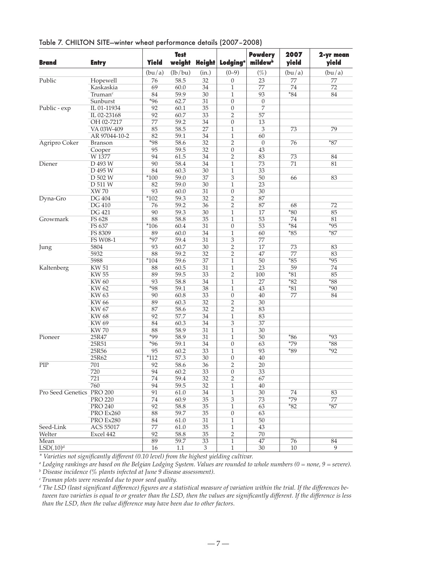| <b>Brand</b>              | <b>Entry</b>        | <b>Yield</b> | <b>Test</b> | weight Height   | <b>Lodging</b> <sup>a</sup> | <b>Powdery</b><br>mildew <sup>b</sup> | 2007<br>yield | 2-yr mean<br>yield |
|---------------------------|---------------------|--------------|-------------|-----------------|-----------------------------|---------------------------------------|---------------|--------------------|
|                           |                     | (bu/a)       | (lb/bu)     | (in.)           | $(0-9)$                     | $(\%)$                                | (bu/a)        | (bu/a)             |
| Public                    | Hopewell            | 76           | 58.5        | 32              | $\boldsymbol{0}$            | 23                                    | 77            | 77                 |
|                           | Kaskaskia           | 69           | 60.0        | 34              | $\mathbf{1}$                | 77                                    | 74            | 72                 |
|                           | Truman <sup>c</sup> | 84           | 59.9        | 30              | $\mathbf{1}$                | 93                                    | $*84$         | 84                 |
|                           | Sunburst            | $*96$        | 62.7        | 31              | $\overline{0}$              | $\overline{0}$                        |               |                    |
| Public - exp              | IL 01-11934         | 92           | 60.1        | 35              | $\boldsymbol{0}$            | 7                                     |               |                    |
|                           | IL 02-23168         | 92           | 60.7        | 33              | $\overline{2}$              | 57                                    |               |                    |
|                           | OH 02-7217          | 77           | 59.2        | 34              | $\boldsymbol{0}$            | 13                                    |               |                    |
|                           | VA 03W-409          | 85           | 58.5        | 27              | $\mathbf{1}$                | 3                                     | 73            | 79                 |
|                           | AR 97044-10-2       | 82           | 59.1        | 34              | $\mathbf{1}$                | 60                                    |               |                    |
| Agripro Coker             | <b>Branson</b>      | $*98$        | 58.6        | 32              | $\overline{2}$              | $\theta$                              | 76            | $*87$              |
|                           | Cooper              | 95           | 59.5        | 32              | $\boldsymbol{0}$            | 43                                    |               |                    |
|                           | W 1377              | 94           | 61.5        | 34              | $\overline{2}$              | 83                                    | 73            | 84                 |
| Diener                    | D 493 W             | 90           | 58.4        | 34              | $\mathbf{1}$                | 73                                    | 71            | 81                 |
|                           | D 495 W             | 84           | 60.3        | 30              | $\mathbf{1}$                | 33                                    |               |                    |
|                           | D 502 W             | $*100$       | 59.0        | 37              | 3                           | $\overline{50}$                       | 66            | 83                 |
|                           | D 511 W             | 82           | 59.0        | 30              | $\mathbf{1}$                | 23                                    |               |                    |
|                           | <b>XW 70</b>        | 93           | 60.0        | 31              | $\overline{0}$              | 30                                    |               |                    |
| Dyna-Gro                  | <b>DG 404</b>       | $*102$       | 59.3        | 32              | $\overline{2}$              | 87                                    |               |                    |
|                           | <b>DG 410</b>       | 76           | 59.2        | 36              | 2                           | 87                                    | 68            | 72                 |
|                           | <b>DG 421</b>       | 90           | 59.3        | 30              | $\mathbf{1}$                | 17                                    | $*80$         | 85                 |
| Growmark                  | FS 628              | 88           | 58.8        | 35              | $\mathbf{1}$                | 53                                    | 74            | 81                 |
|                           | FS 637              | $*106$       | 60.4        | 31              | $\overline{0}$              | 53                                    | $*84$         | $*95$              |
|                           | FS 8309             | 89           | 60.0        | 34              | $\mathbf{1}$                | 60                                    | $*85$         | $*87$              |
|                           | <b>FS W08-1</b>     | $*97$        | 59.4        | 31              | 3                           | 77                                    |               |                    |
| Jung                      | 5804                | 93           | 60.7        | 30              | $\overline{2}$              | 17                                    | 73            | 83                 |
|                           | 5932                | 88           | 59.2        | 32              | $\overline{2}$              | 47                                    | 77            | 83                 |
|                           | 5988                | $*104$       | 59.6        | 37              | $\mathbf{1}$                | 50                                    | $*85$         | $*95$              |
| Kaltenberg                | <b>KW 51</b>        | 88           | 60.5        | 31              | $\mathbf{1}$                | 23                                    | 59            | 74                 |
|                           | <b>KW 55</b>        | 89           | 59.5        | 33              | $\overline{2}$              | 100                                   | $*81$         | 85                 |
|                           | <b>KW60</b>         | 93           | 58.8        | 34              | $\mathbf{1}$                | 27                                    | $*82$         | $*88$              |
|                           | <b>KW 62</b>        | $*98$        | 59.1        | 38              | $\mathbf{1}$                | 43                                    | $*81$         | $*90$              |
|                           | <b>KW63</b>         | 90           | 60.8        | 33              | $\boldsymbol{0}$            | 40                                    | 77            | 84                 |
|                           | <b>KW 66</b>        | 89           | 60.3        | $\overline{32}$ | $\overline{2}$              | 30                                    |               |                    |
|                           | <b>KW 67</b>        | 87           | 58.6        | 32              | $\overline{2}$              | 83                                    |               |                    |
|                           | <b>KW68</b>         | 92           | 57.7        | 34              | $\mathbf{1}$                | 83                                    |               |                    |
|                           | <b>KW69</b>         | 84           | 60.3        | 34              | 3                           | 37                                    |               |                    |
|                           | <b>KW70</b>         | 88           | 58.9        | 31              | $\mathbf{1}$                | 30                                    |               |                    |
| Pioneer                   | 25R47               | $*99$        | 58.9        | 31              | $\mathbf{1}$                | 50                                    | $*86$         | $*93$              |
|                           | 25R51               | $*96$        | 59.1        | 34              | $\boldsymbol{0}$            | 63                                    | $*79$         | $*88$              |
|                           | 25R56               | 95           | 60.2        | 33              | $\mathbf{1}$                | 93                                    | $*89$         | $*92$              |
|                           | 25R62               | $*112$       | 57.3        | 30              | $\boldsymbol{0}$            | 40                                    |               |                    |
| $\overline{PIP}$          | 701                 | 92           | 58.6        | 36              | $\overline{2}$              | 20                                    |               |                    |
|                           | 720                 | 94           | 60.2        | 33              | $\boldsymbol{0}$            | 33                                    |               |                    |
|                           | 721                 | 74           | 59.4        | 32              | $\overline{2}$              | 67                                    |               |                    |
|                           | 760                 | 94           | 59.5        | 32              | 1                           | 40                                    |               |                    |
| Pro Seed Genetics PRO 200 |                     | 91           | 61.0        | 34              | $\mathbf{1}$                | 30                                    | 74            | 83                 |
|                           | <b>PRO 220</b>      | 74           | 60.9        | 35              | $\overline{3}$              | 73                                    | $*79$         | 77                 |
|                           | <b>PRO 240</b>      | 92           | 58.8        | 35              | $\mathbf{1}$                | 63                                    | $*82$         | $*87$              |
|                           | PRO Ex260           | 88           | 59.7        | 35              | $\boldsymbol{0}$            | 63                                    |               |                    |
|                           | PRO Ex280           | 84           | 61.0        | 31              | 1                           | 50                                    |               |                    |
| Seed-Link                 | ACS 55017           | 77           | 61.0        | 35              | $\mathbf{1}$                | 43                                    |               |                    |
| Welter                    | Excel 442           | 92           | 58.8        | 35              | 2                           | 70                                    |               |                    |
| Mean                      |                     | 89           | 59.7        | 33              | 1                           | 47                                    | 76            | 84                 |
| LSD(.10) <sup>d</sup>     |                     | 16           | 1.1         | 3               | $\mathbf{1}$                | 30                                    | 10            | 9                  |

Table 7. CHILTON SITE—winter wheat performance details (2007–2008)

*\* Varieties not significantly different (0.10 level) from the highest yielding cultivar.*

*<sup>a</sup> Lodging rankings are based on the Belgian Lodging System. Values are rounded to whole numbers (0 = none, 9 = severe).*

*<sup>b</sup> Disease incidence (% plants infected at June 9 disease assessment).*

*<sup>c</sup> Truman plots were reseeded due to poor seed quality.*

*<sup>d</sup> The LSD (least significant difference) figures are a statistical measure of variation within the trial. If the differences between two varieties is equal to or greater than the LSD, then the values are significantly different. If the difference is less than the LSD, then the value difference may have been due to other factors.*